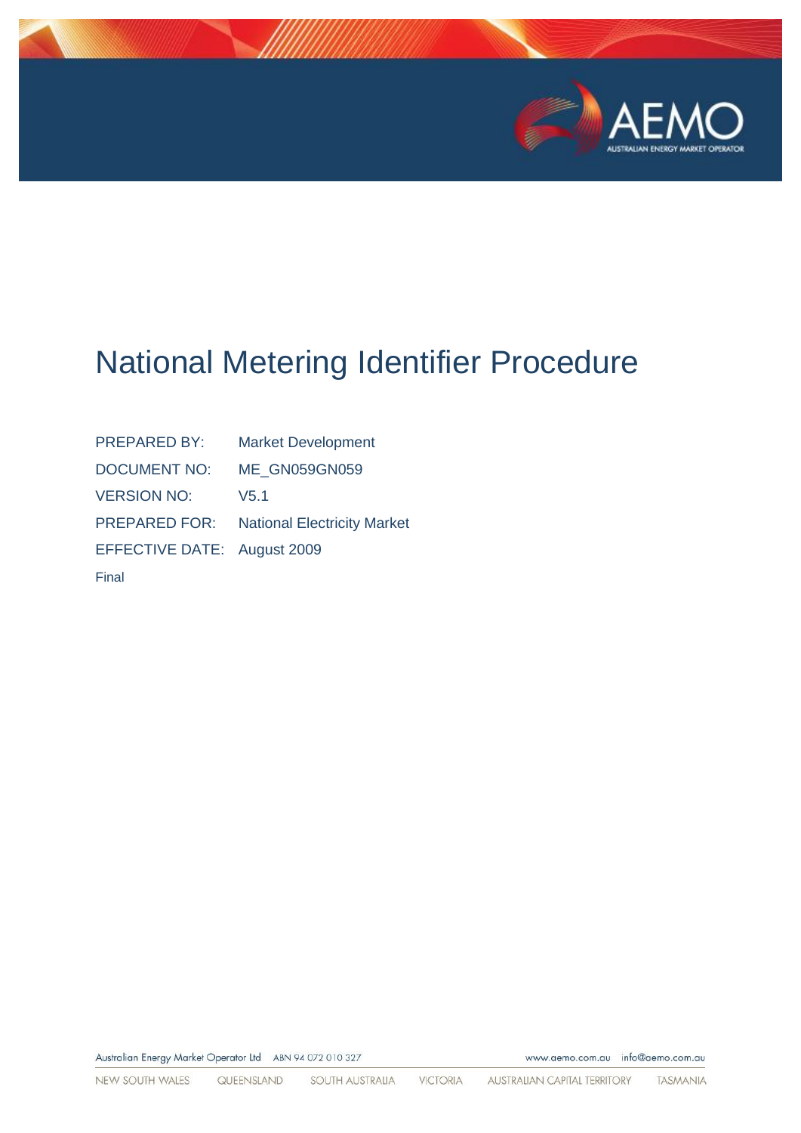

www.aemo.com.au info@aemo.com.au

# National Metering Identifier Procedure

| <b>PREPARED BY:</b>         | <b>Market Development</b>          |
|-----------------------------|------------------------------------|
| <b>DOCUMENT NO:</b>         | <b>ME GN059GN059</b>               |
| <b>VERSION NO:</b>          | V <sub>5.1</sub>                   |
| <b>PREPARED FOR:</b>        | <b>National Electricity Market</b> |
| EFFECTIVE DATE: August 2009 |                                    |
| Final                       |                                    |
|                             |                                    |

Australian Energy Market Operator Ltd ABN 94 072 010 327

NEW SOUTH WALES QUEENSLAND SOUTH AUSTRALIA **VICTORIA** AUSTRALIAN CAPITAL TERRITORY TASMANIA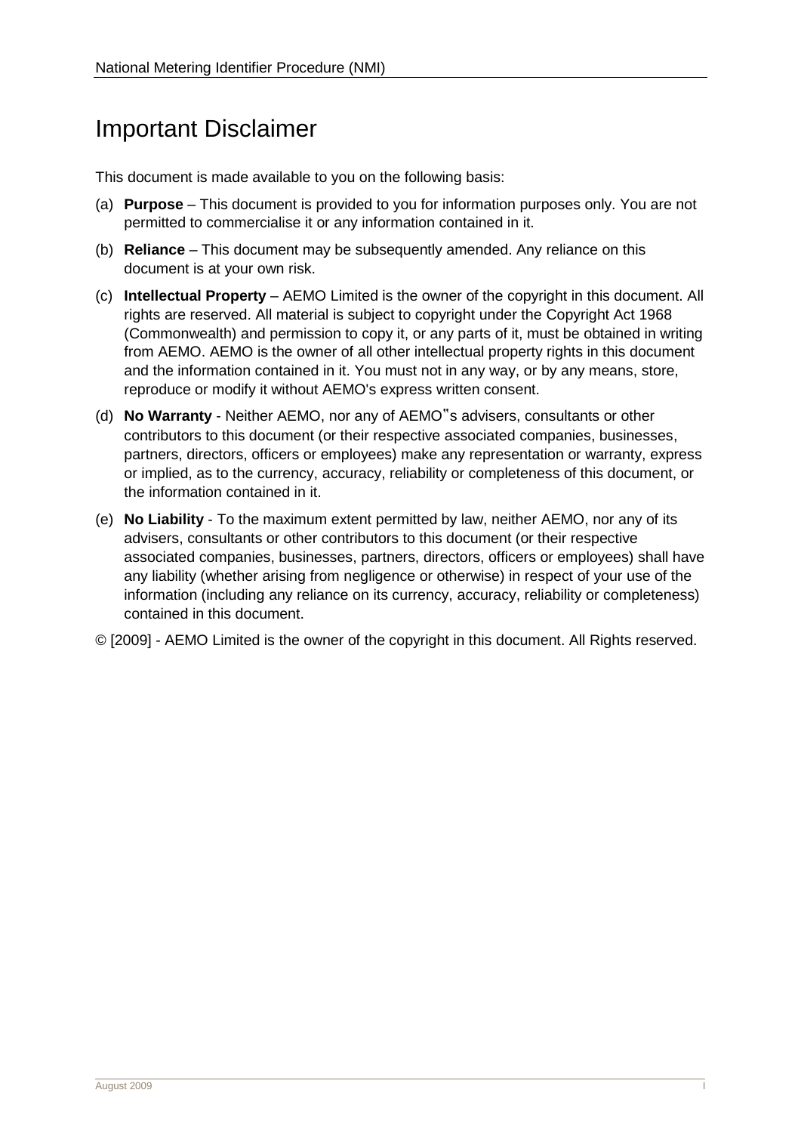# Important Disclaimer

This document is made available to you on the following basis:

- (a) **Purpose**  This document is provided to you for information purposes only. You are not permitted to commercialise it or any information contained in it.
- (b) **Reliance**  This document may be subsequently amended. Any reliance on this document is at your own risk.
- (c) **Intellectual Property**  AEMO Limited is the owner of the copyright in this document. All rights are reserved. All material is subject to copyright under the Copyright Act 1968 (Commonwealth) and permission to copy it, or any parts of it, must be obtained in writing from AEMO. AEMO is the owner of all other intellectual property rights in this document and the information contained in it. You must not in any way, or by any means, store, reproduce or modify it without AEMO's express written consent.
- (d) **No Warranty**  Neither AEMO, nor any of AEMO"s advisers, consultants or other contributors to this document (or their respective associated companies, businesses, partners, directors, officers or employees) make any representation or warranty, express or implied, as to the currency, accuracy, reliability or completeness of this document, or the information contained in it.
- (e) **No Liability**  To the maximum extent permitted by law, neither AEMO, nor any of its advisers, consultants or other contributors to this document (or their respective associated companies, businesses, partners, directors, officers or employees) shall have any liability (whether arising from negligence or otherwise) in respect of your use of the information (including any reliance on its currency, accuracy, reliability or completeness) contained in this document.
- © [2009] AEMO Limited is the owner of the copyright in this document. All Rights reserved.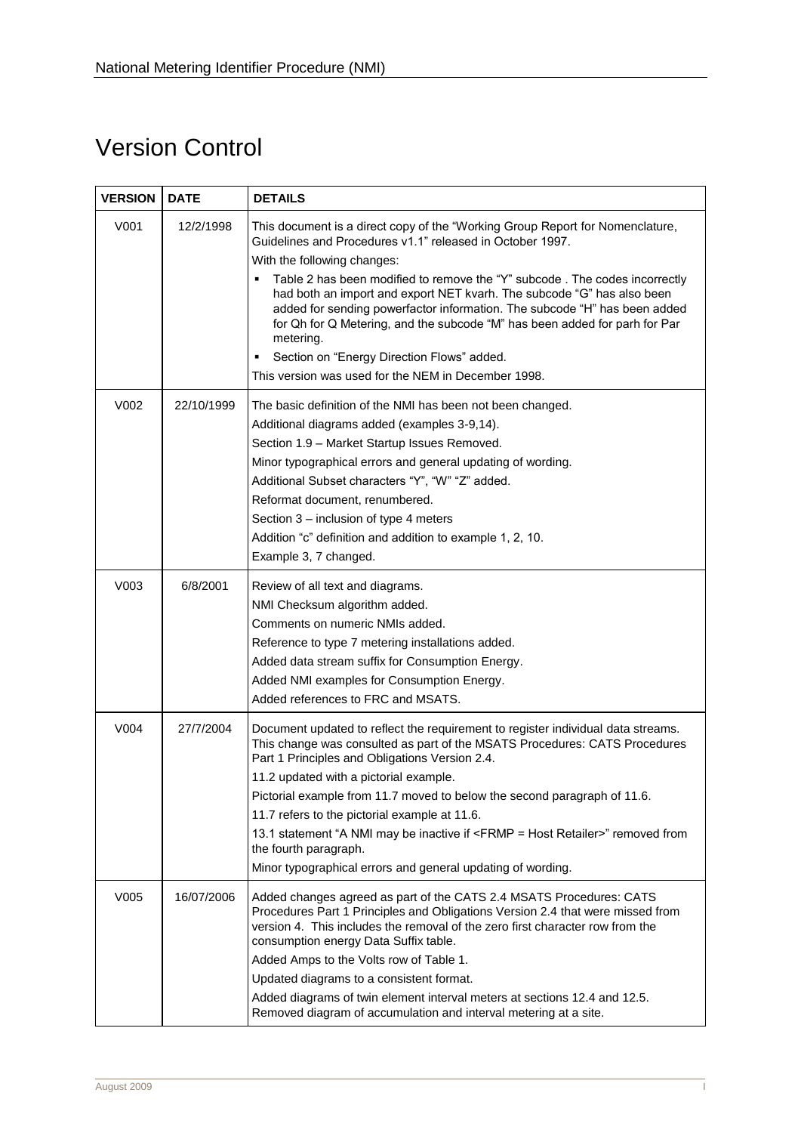# Version Control

| <b>VERSION</b> | <b>DATE</b> | <b>DETAILS</b>                                                                                                                                                                                                                                                                                                                                                                                                                                                                                                                                                                     |
|----------------|-------------|------------------------------------------------------------------------------------------------------------------------------------------------------------------------------------------------------------------------------------------------------------------------------------------------------------------------------------------------------------------------------------------------------------------------------------------------------------------------------------------------------------------------------------------------------------------------------------|
| V001           | 12/2/1998   | This document is a direct copy of the "Working Group Report for Nomenclature,<br>Guidelines and Procedures v1.1" released in October 1997.<br>With the following changes:                                                                                                                                                                                                                                                                                                                                                                                                          |
|                |             | Table 2 has been modified to remove the "Y" subcode. The codes incorrectly<br>had both an import and export NET kvarh. The subcode "G" has also been<br>added for sending powerfactor information. The subcode "H" has been added<br>for Qh for Q Metering, and the subcode "M" has been added for parh for Par<br>metering.                                                                                                                                                                                                                                                       |
|                |             | Section on "Energy Direction Flows" added.<br>This version was used for the NEM in December 1998.                                                                                                                                                                                                                                                                                                                                                                                                                                                                                  |
| V002           | 22/10/1999  | The basic definition of the NMI has been not been changed.<br>Additional diagrams added (examples 3-9,14).<br>Section 1.9 - Market Startup Issues Removed.<br>Minor typographical errors and general updating of wording.<br>Additional Subset characters "Y", "W" "Z" added.<br>Reformat document, renumbered.<br>Section 3 – inclusion of type 4 meters<br>Addition "c" definition and addition to example 1, 2, 10.                                                                                                                                                             |
| V003           | 6/8/2001    | Example 3, 7 changed.<br>Review of all text and diagrams.<br>NMI Checksum algorithm added.<br>Comments on numeric NMIs added.<br>Reference to type 7 metering installations added.<br>Added data stream suffix for Consumption Energy.<br>Added NMI examples for Consumption Energy.<br>Added references to FRC and MSATS.                                                                                                                                                                                                                                                         |
| V004           | 27/7/2004   | Document updated to reflect the requirement to register individual data streams.<br>This change was consulted as part of the MSATS Procedures: CATS Procedures<br>Part 1 Principles and Obligations Version 2.4.<br>11.2 updated with a pictorial example.<br>Pictorial example from 11.7 moved to below the second paragraph of 11.6.<br>11.7 refers to the pictorial example at 11.6.<br>13.1 statement "A NMI may be inactive if <frmp =="" host="" retailer="">" removed from<br/>the fourth paragraph.<br/>Minor typographical errors and general updating of wording.</frmp> |
| V005           | 16/07/2006  | Added changes agreed as part of the CATS 2.4 MSATS Procedures: CATS<br>Procedures Part 1 Principles and Obligations Version 2.4 that were missed from<br>version 4. This includes the removal of the zero first character row from the<br>consumption energy Data Suffix table.<br>Added Amps to the Volts row of Table 1.<br>Updated diagrams to a consistent format.<br>Added diagrams of twin element interval meters at sections 12.4 and 12.5.<br>Removed diagram of accumulation and interval metering at a site.                                                            |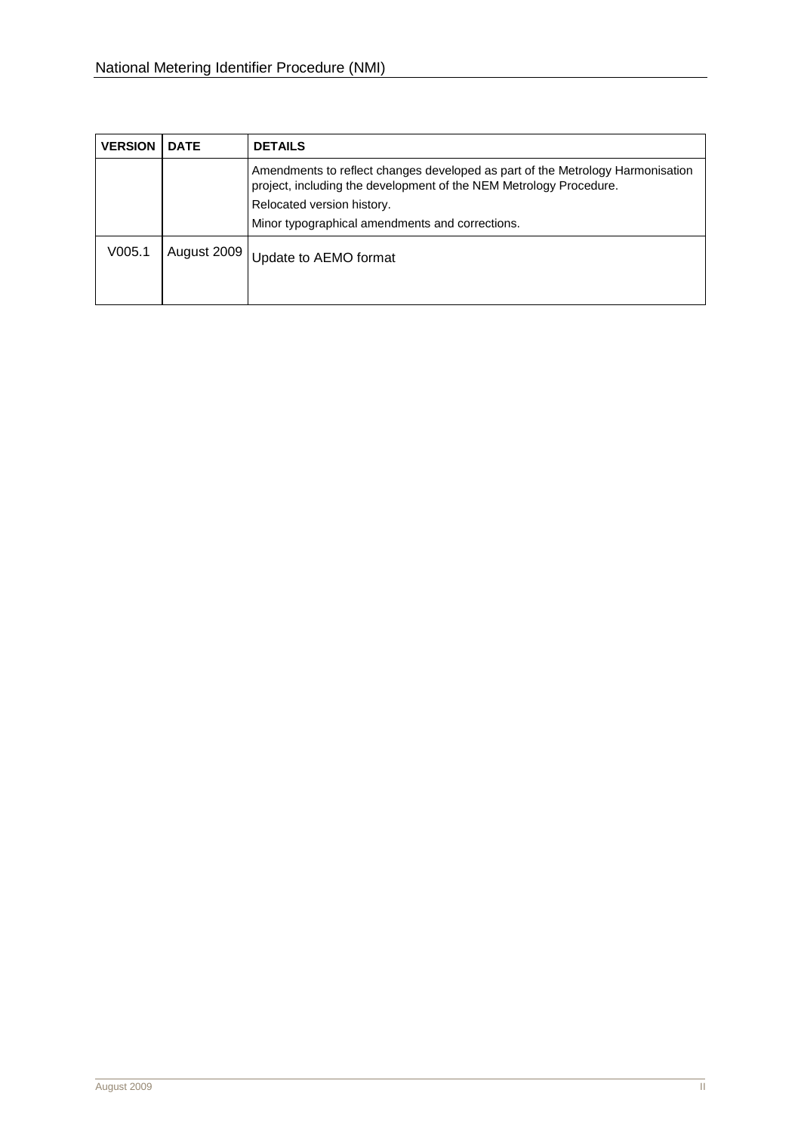| <b>VERSION</b> | <b>DATE</b> | <b>DETAILS</b>                                                                                                                                                                                                                        |
|----------------|-------------|---------------------------------------------------------------------------------------------------------------------------------------------------------------------------------------------------------------------------------------|
|                |             | Amendments to reflect changes developed as part of the Metrology Harmonisation<br>project, including the development of the NEM Metrology Procedure.<br>Relocated version history.<br>Minor typographical amendments and corrections. |
| V005.1         | August 2009 | Update to AEMO format                                                                                                                                                                                                                 |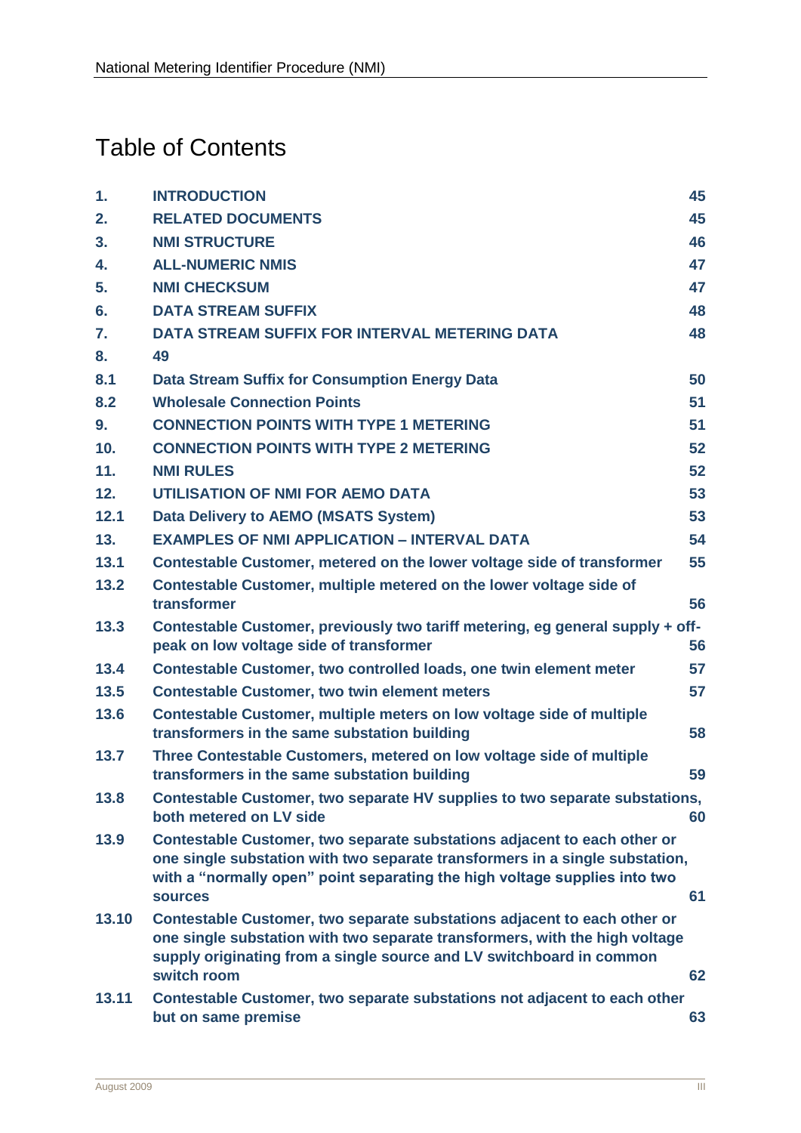# Table of Contents

| 1.    | <b>INTRODUCTION</b>                                                                                                                                                                                                                                      | 45 |
|-------|----------------------------------------------------------------------------------------------------------------------------------------------------------------------------------------------------------------------------------------------------------|----|
| 2.    | <b>RELATED DOCUMENTS</b>                                                                                                                                                                                                                                 | 45 |
| 3.    | <b>NMI STRUCTURE</b>                                                                                                                                                                                                                                     | 46 |
| 4.    | <b>ALL-NUMERIC NMIS</b>                                                                                                                                                                                                                                  | 47 |
| 5.    | <b>NMI CHECKSUM</b>                                                                                                                                                                                                                                      | 47 |
| 6.    | <b>DATA STREAM SUFFIX</b>                                                                                                                                                                                                                                | 48 |
| 7.    | <b>DATA STREAM SUFFIX FOR INTERVAL METERING DATA</b>                                                                                                                                                                                                     | 48 |
| 8.    | 49                                                                                                                                                                                                                                                       |    |
| 8.1   | Data Stream Suffix for Consumption Energy Data                                                                                                                                                                                                           | 50 |
| 8.2   | <b>Wholesale Connection Points</b>                                                                                                                                                                                                                       | 51 |
| 9.    | <b>CONNECTION POINTS WITH TYPE 1 METERING</b>                                                                                                                                                                                                            | 51 |
| 10.   | <b>CONNECTION POINTS WITH TYPE 2 METERING</b>                                                                                                                                                                                                            | 52 |
| 11.   | <b>NMI RULES</b>                                                                                                                                                                                                                                         | 52 |
| 12.   | UTILISATION OF NMI FOR AEMO DATA                                                                                                                                                                                                                         | 53 |
| 12.1  | <b>Data Delivery to AEMO (MSATS System)</b>                                                                                                                                                                                                              | 53 |
| 13.   | <b>EXAMPLES OF NMI APPLICATION - INTERVAL DATA</b>                                                                                                                                                                                                       | 54 |
| 13.1  | Contestable Customer, metered on the lower voltage side of transformer                                                                                                                                                                                   | 55 |
| 13.2  | Contestable Customer, multiple metered on the lower voltage side of<br>transformer                                                                                                                                                                       | 56 |
| 13.3  | Contestable Customer, previously two tariff metering, eg general supply + off-                                                                                                                                                                           |    |
|       | peak on low voltage side of transformer                                                                                                                                                                                                                  | 56 |
| 13.4  | Contestable Customer, two controlled loads, one twin element meter                                                                                                                                                                                       | 57 |
| 13.5  | <b>Contestable Customer, two twin element meters</b>                                                                                                                                                                                                     | 57 |
| 13.6  | Contestable Customer, multiple meters on low voltage side of multiple<br>transformers in the same substation building                                                                                                                                    | 58 |
| 13.7  | Three Contestable Customers, metered on low voltage side of multiple<br>transformers in the same substation building                                                                                                                                     | 59 |
| 13.8  | Contestable Customer, two separate HV supplies to two separate substations,<br>both metered on LV side                                                                                                                                                   | 60 |
| 13.9  | Contestable Customer, two separate substations adjacent to each other or<br>one single substation with two separate transformers in a single substation,<br>with a "normally open" point separating the high voltage supplies into two<br><b>sources</b> | 61 |
| 13.10 | Contestable Customer, two separate substations adjacent to each other or<br>one single substation with two separate transformers, with the high voltage<br>supply originating from a single source and LV switchboard in common<br>switch room           | 62 |
| 13.11 | Contestable Customer, two separate substations not adjacent to each other<br>but on same premise                                                                                                                                                         | 63 |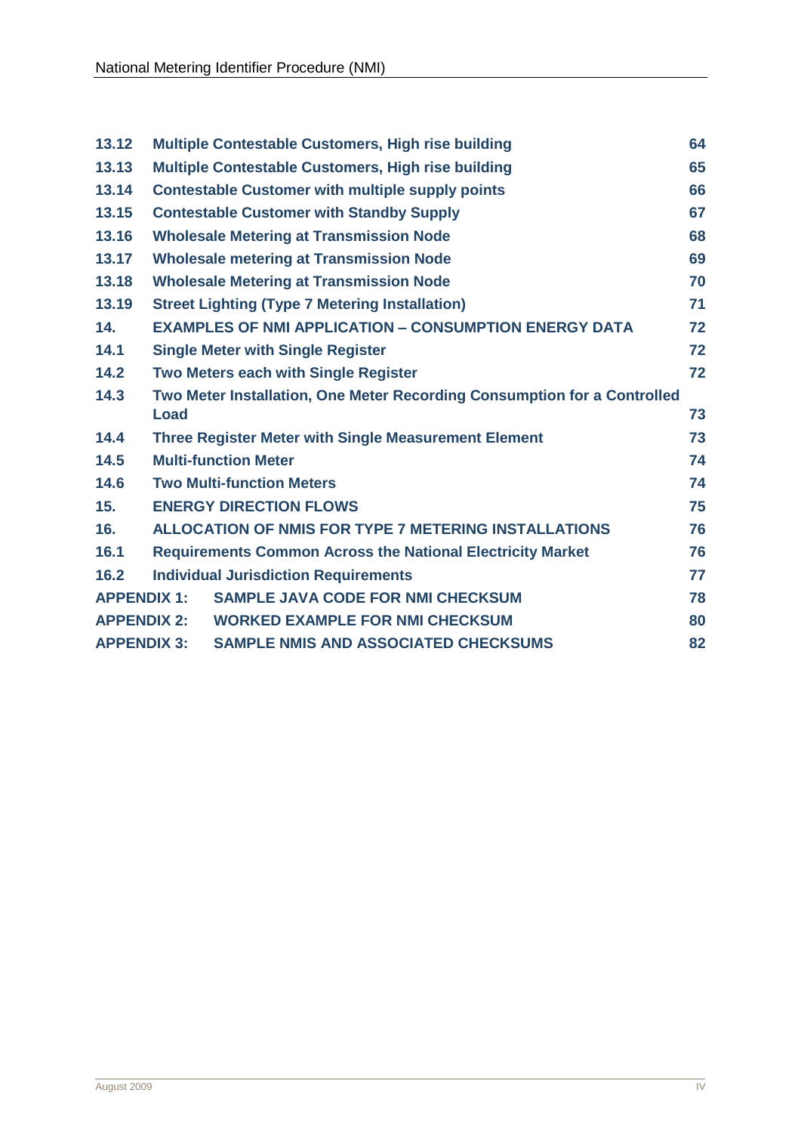| 13.12              |             | Multiple Contestable Customers, High rise building                       | 64 |
|--------------------|-------------|--------------------------------------------------------------------------|----|
| 13.13              |             | Multiple Contestable Customers, High rise building                       | 65 |
| 13.14              |             | <b>Contestable Customer with multiple supply points</b>                  | 66 |
| 13.15              |             | <b>Contestable Customer with Standby Supply</b>                          | 67 |
| 13.16              |             | <b>Wholesale Metering at Transmission Node</b>                           | 68 |
| 13.17              |             | <b>Wholesale metering at Transmission Node</b>                           | 69 |
| 13.18              |             | <b>Wholesale Metering at Transmission Node</b>                           | 70 |
| 13.19              |             | <b>Street Lighting (Type 7 Metering Installation)</b>                    | 71 |
| 14.                |             | <b>EXAMPLES OF NMI APPLICATION - CONSUMPTION ENERGY DATA</b>             | 72 |
| 14.1               |             | <b>Single Meter with Single Register</b>                                 | 72 |
| 14.2               |             | <b>Two Meters each with Single Register</b>                              | 72 |
| 14.3               |             | Two Meter Installation, One Meter Recording Consumption for a Controlled |    |
|                    | <b>Load</b> |                                                                          | 73 |
| 14.4               |             | <b>Three Register Meter with Single Measurement Element</b>              | 73 |
| 14.5               |             | <b>Multi-function Meter</b>                                              | 74 |
| 14.6               |             | <b>Two Multi-function Meters</b>                                         | 74 |
| 15.                |             | <b>ENERGY DIRECTION FLOWS</b>                                            | 75 |
| 16.                |             | <b>ALLOCATION OF NMIS FOR TYPE 7 METERING INSTALLATIONS</b>              | 76 |
| 16.1               |             | <b>Requirements Common Across the National Electricity Market</b>        | 76 |
| 16.2               |             | <b>Individual Jurisdiction Requirements</b>                              | 77 |
| <b>APPENDIX 1:</b> |             | <b>SAMPLE JAVA CODE FOR NMI CHECKSUM</b>                                 | 78 |
| <b>APPENDIX 2:</b> |             | <b>WORKED EXAMPLE FOR NMI CHECKSUM</b>                                   | 80 |
| <b>APPENDIX 3:</b> |             | <b>SAMPLE NMIS AND ASSOCIATED CHECKSUMS</b>                              | 82 |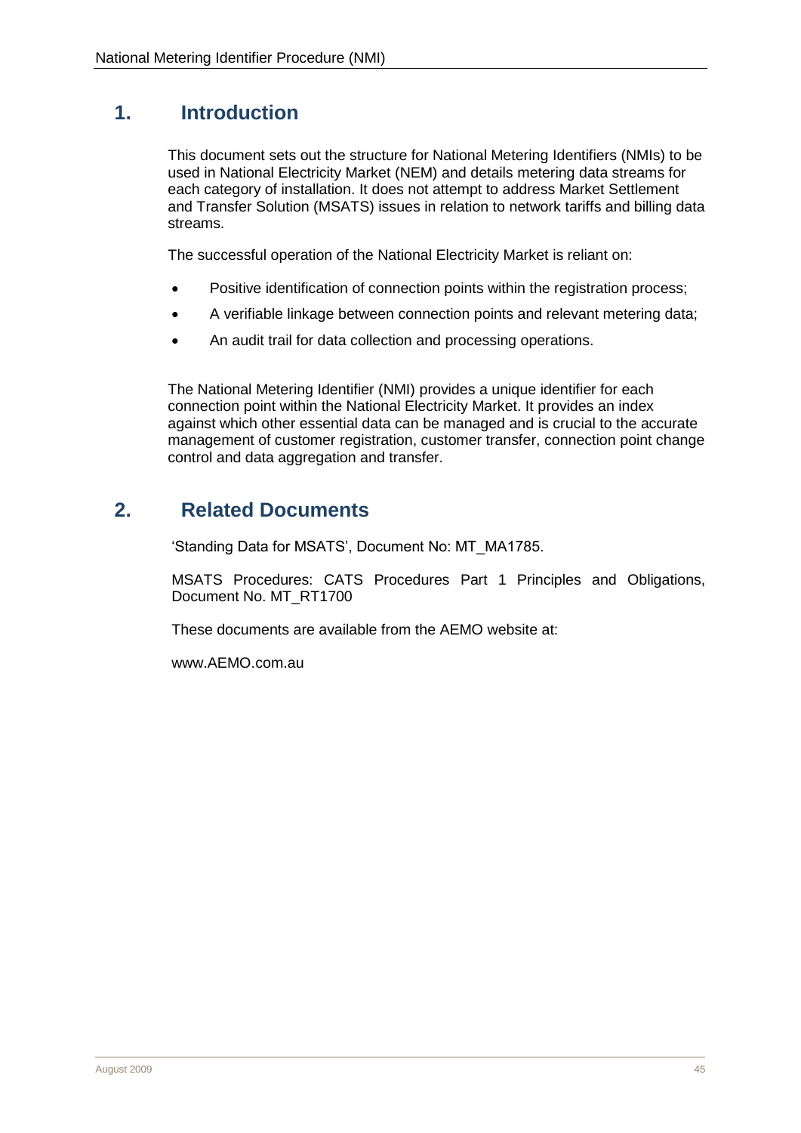# <span id="page-6-0"></span>**1. Introduction**

This document sets out the structure for National Metering Identifiers (NMIs) to be used in National Electricity Market (NEM) and details metering data streams for each category of installation. It does not attempt to address Market Settlement and Transfer Solution (MSATS) issues in relation to network tariffs and billing data streams.

The successful operation of the National Electricity Market is reliant on:

- Positive identification of connection points within the registration process;
- A verifiable linkage between connection points and relevant metering data;
- An audit trail for data collection and processing operations.

The National Metering Identifier (NMI) provides a unique identifier for each connection point within the National Electricity Market. It provides an index against which other essential data can be managed and is crucial to the accurate management of customer registration, customer transfer, connection point change control and data aggregation and transfer.

# <span id="page-6-1"></span>**2. Related Documents**

'Standing Data for MSATS', Document No: MT\_MA1785.

MSATS Procedures: CATS Procedures Part 1 Principles and Obligations, Document No. MT\_RT1700

These documents are available from the AEMO website at:

www.AEMO.com.au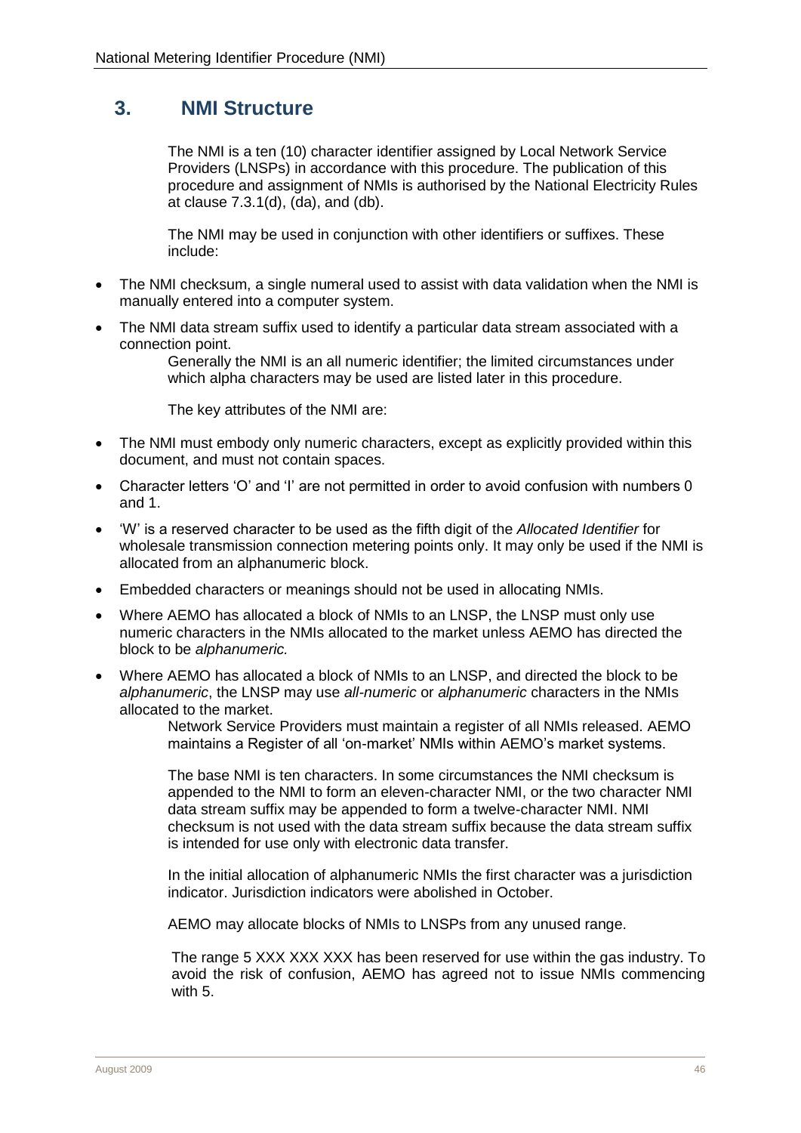# <span id="page-7-0"></span>**3. NMI Structure**

The NMI is a ten (10) character identifier assigned by Local Network Service Providers (LNSPs) in accordance with this procedure. The publication of this procedure and assignment of NMIs is authorised by the National Electricity Rules at clause 7.3.1(d), (da), and (db).

The NMI may be used in conjunction with other identifiers or suffixes. These include:

- The NMI checksum, a single numeral used to assist with data validation when the NMI is manually entered into a computer system.
- The NMI data stream suffix used to identify a particular data stream associated with a connection point.

Generally the NMI is an all numeric identifier; the limited circumstances under which alpha characters may be used are listed later in this procedure.

The key attributes of the NMI are:

- The NMI must embody only numeric characters, except as explicitly provided within this document, and must not contain spaces.
- Character letters 'O' and 'I' are not permitted in order to avoid confusion with numbers 0 and 1.
- 'W' is a reserved character to be used as the fifth digit of the *Allocated Identifier* for wholesale transmission connection metering points only. It may only be used if the NMI is allocated from an alphanumeric block.
- Embedded characters or meanings should not be used in allocating NMIs.
- Where AEMO has allocated a block of NMIs to an LNSP, the LNSP must only use numeric characters in the NMIs allocated to the market unless AEMO has directed the block to be *alphanumeric.*
- Where AEMO has allocated a block of NMIs to an LNSP, and directed the block to be *alphanumeric*, the LNSP may use *all-numeric* or *alphanumeric* characters in the NMIs allocated to the market.

Network Service Providers must maintain a register of all NMIs released. AEMO maintains a Register of all 'on-market' NMIs within AEMO's market systems.

The base NMI is ten characters. In some circumstances the NMI checksum is appended to the NMI to form an eleven-character NMI, or the two character NMI data stream suffix may be appended to form a twelve-character NMI. NMI checksum is not used with the data stream suffix because the data stream suffix is intended for use only with electronic data transfer.

In the initial allocation of alphanumeric NMIs the first character was a jurisdiction indicator. Jurisdiction indicators were abolished in October.

AEMO may allocate blocks of NMIs to LNSPs from any unused range.

The range 5 XXX XXX XXX has been reserved for use within the gas industry. To avoid the risk of confusion, AEMO has agreed not to issue NMIs commencing with 5.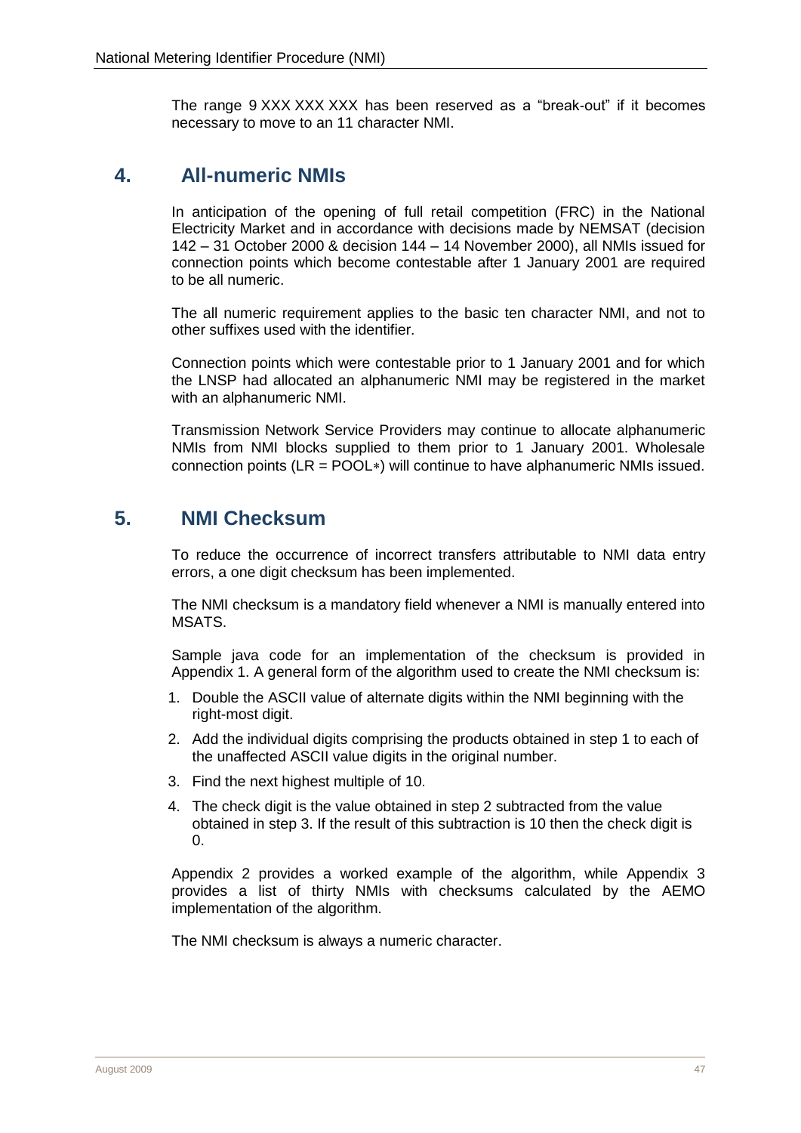The range 9 XXX XXX XXX has been reserved as a "break-out" if it becomes necessary to move to an 11 character NMI.

# <span id="page-8-0"></span>**4. All-numeric NMIs**

In anticipation of the opening of full retail competition (FRC) in the National Electricity Market and in accordance with decisions made by NEMSAT (decision 142 – 31 October 2000 & decision 144 – 14 November 2000), all NMIs issued for connection points which become contestable after 1 January 2001 are required to be all numeric.

The all numeric requirement applies to the basic ten character NMI, and not to other suffixes used with the identifier.

Connection points which were contestable prior to 1 January 2001 and for which the LNSP had allocated an alphanumeric NMI may be registered in the market with an alphanumeric NMI.

Transmission Network Service Providers may continue to allocate alphanumeric NMIs from NMI blocks supplied to them prior to 1 January 2001. Wholesale connection points ( $LR = POOL*$ ) will continue to have alphanumeric NMIs issued.

# <span id="page-8-1"></span>**5. NMI Checksum**

To reduce the occurrence of incorrect transfers attributable to NMI data entry errors, a one digit checksum has been implemented.

The NMI checksum is a mandatory field whenever a NMI is manually entered into MSATS.

Sample java code for an implementation of the checksum is provided in Appendix 1. A general form of the algorithm used to create the NMI checksum is:

- 1. Double the ASCII value of alternate digits within the NMI beginning with the right-most digit.
- 2. Add the individual digits comprising the products obtained in step 1 to each of the unaffected ASCII value digits in the original number.
- 3. Find the next highest multiple of 10.
- 4. The check digit is the value obtained in step 2 subtracted from the value obtained in step 3. If the result of this subtraction is 10 then the check digit is  $0<sub>l</sub>$

Appendix 2 provides a worked example of the algorithm, while Appendix 3 provides a list of thirty NMIs with checksums calculated by the AEMO implementation of the algorithm.

The NMI checksum is always a numeric character.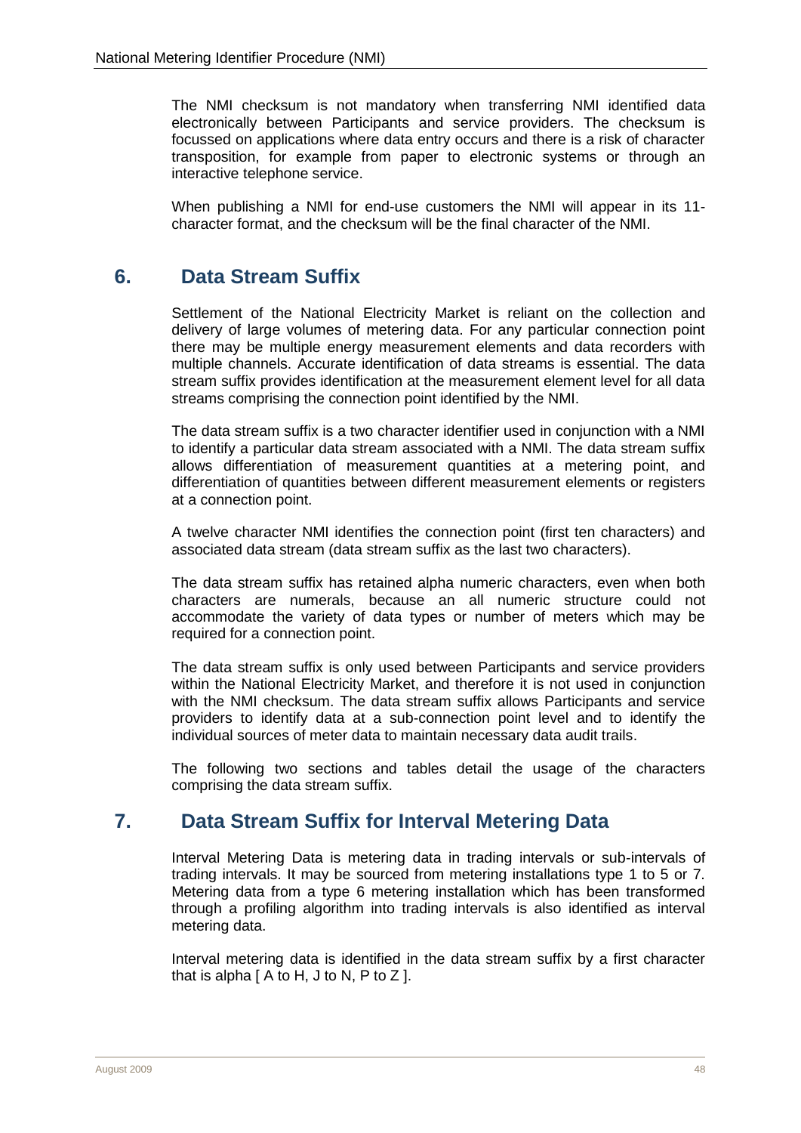The NMI checksum is not mandatory when transferring NMI identified data electronically between Participants and service providers. The checksum is focussed on applications where data entry occurs and there is a risk of character transposition, for example from paper to electronic systems or through an interactive telephone service.

When publishing a NMI for end-use customers the NMI will appear in its 11 character format, and the checksum will be the final character of the NMI.

# <span id="page-9-0"></span>**6. Data Stream Suffix**

Settlement of the National Electricity Market is reliant on the collection and delivery of large volumes of metering data. For any particular connection point there may be multiple energy measurement elements and data recorders with multiple channels. Accurate identification of data streams is essential. The data stream suffix provides identification at the measurement element level for all data streams comprising the connection point identified by the NMI.

The data stream suffix is a two character identifier used in conjunction with a NMI to identify a particular data stream associated with a NMI. The data stream suffix allows differentiation of measurement quantities at a metering point, and differentiation of quantities between different measurement elements or registers at a connection point.

A twelve character NMI identifies the connection point (first ten characters) and associated data stream (data stream suffix as the last two characters).

The data stream suffix has retained alpha numeric characters, even when both characters are numerals, because an all numeric structure could not accommodate the variety of data types or number of meters which may be required for a connection point.

The data stream suffix is only used between Participants and service providers within the National Electricity Market, and therefore it is not used in conjunction with the NMI checksum. The data stream suffix allows Participants and service providers to identify data at a sub-connection point level and to identify the individual sources of meter data to maintain necessary data audit trails.

The following two sections and tables detail the usage of the characters comprising the data stream suffix.

# <span id="page-9-1"></span>**7. Data Stream Suffix for Interval Metering Data**

Interval Metering Data is metering data in trading intervals or sub-intervals of trading intervals. It may be sourced from metering installations type 1 to 5 or 7. Metering data from a type 6 metering installation which has been transformed through a profiling algorithm into trading intervals is also identified as interval metering data.

Interval metering data is identified in the data stream suffix by a first character that is alpha  $[$  A to H, J to N, P to Z  $]$ .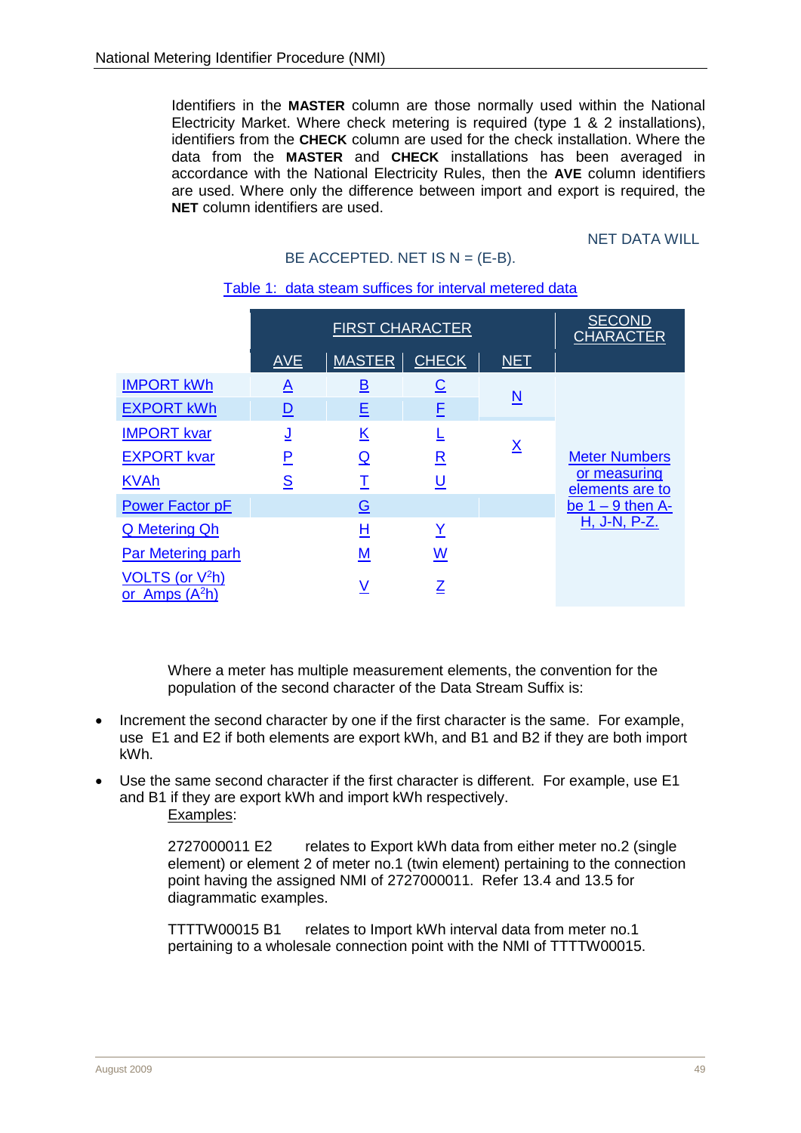Identifiers in the **MASTER** column are those normally used within the National Electricity Market. Where check metering is required (type 1 & 2 installations), identifiers from the **CHECK** column are used for the check installation. Where the data from the **MASTER** and **CHECK** installations has been averaged in accordance with the National Electricity Rules, then the **AVE** column identifiers are used. Where only the difference between import and export is required, the **NET** column identifiers are used.

**NET DATA WILL** 

<span id="page-10-0"></span>

|                                        | <b>FIRST CHARACTER</b> |                          |                          | <b>SECOND</b><br><b>CHARACTER</b> |                                 |
|----------------------------------------|------------------------|--------------------------|--------------------------|-----------------------------------|---------------------------------|
|                                        | <b>AVE</b>             | <b>MASTER</b>            | <b>CHECK</b>             | <b>NET</b>                        |                                 |
| <b>IMPORT kWh</b>                      | <u>A</u>               | <u>B</u>                 | <u>C</u>                 |                                   |                                 |
| <b>EXPORT kWh</b>                      | <u>D</u>               | 旦                        | E                        | N                                 |                                 |
| <b>IMPORT kvar</b>                     | <u>ل</u>               | $\underline{\mathsf{K}}$ |                          |                                   |                                 |
| <b>EXPORT kvar</b>                     | <u>P</u>               | <u>ର</u>                 | $\underline{\mathsf{R}}$ | $\underline{\mathsf{X}}$          | <b>Meter Numbers</b>            |
| <b>KVAh</b>                            | S                      | Τ                        | <u>ប</u>                 |                                   | or measuring<br>elements are to |
| <b>Power Factor pF</b>                 |                        | $\overline{G}$           |                          |                                   | be $1 - 9$ then A-              |
| <b>Q</b> Metering Qh                   |                        | Н                        | Y                        |                                   | H, J-N, P-Z.                    |
| Par Metering parh                      |                        | M                        | <u>W</u>                 |                                   |                                 |
| VOLTS (or $V^2h$ )<br>or Amps $(A^2h)$ |                        | ٧                        | Z                        |                                   |                                 |

#### Table 1: data steam suffices for interval metered data

BE ACCEPTED. NET IS  $N = (E-B)$ .

Where a meter has multiple measurement elements, the convention for the population of the second character of the Data Stream Suffix is:

- Increment the second character by one if the first character is the same. For example, use E1 and E2 if both elements are export kWh, and B1 and B2 if they are both import kWh.
- Use the same second character if the first character is different. For example, use E1 and B1 if they are export kWh and import kWh respectively. Examples:

2727000011 E2 relates to Export kWh data from either meter no.2 (single element) or element 2 of meter no.1 (twin element) pertaining to the connection point having the assigned NMI of 2727000011. Refer [13.4](#page-18-2) and [13.5](#page-18-3) for diagrammatic examples.

TTTTW00015 B1 relates to Import kWh interval data from meter no.1 pertaining to a wholesale connection point with the NMI of TTTTW00015.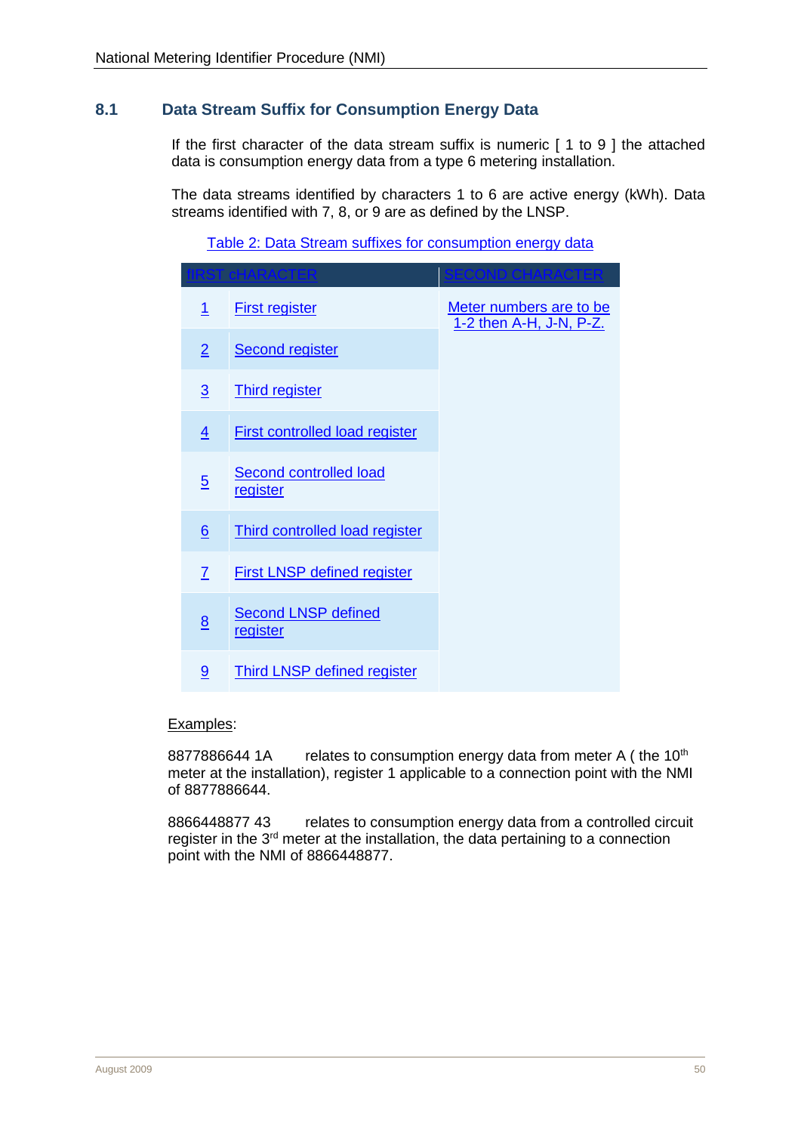## <span id="page-11-0"></span>**8.1 Data Stream Suffix for Consumption Energy Data**

If the first character of the data stream suffix is numeric [ 1 to 9 ] the attached data is consumption energy data from a type 6 metering installation.

The data streams identified by characters 1 to 6 are active energy (kWh). Data streams identified with 7, 8, or 9 are as defined by the LNSP.

#### Table 2: Data Stream suffixes for consumption energy data

|                 | ACTE                                   |                                                    |
|-----------------|----------------------------------------|----------------------------------------------------|
| $\mathbf{1}$    | <b>First register</b>                  | Meter numbers are to be<br>1-2 then A-H, J-N, P-Z. |
| $\overline{2}$  | <b>Second register</b>                 |                                                    |
| $\overline{3}$  | <b>Third register</b>                  |                                                    |
| $\overline{4}$  | <b>First controlled load register</b>  |                                                    |
| $\overline{5}$  | Second controlled load<br>register     |                                                    |
| $6\overline{6}$ | <b>Third controlled load register</b>  |                                                    |
| 7               | <b>First LNSP defined register</b>     |                                                    |
| 8               | <b>Second LNSP defined</b><br>register |                                                    |
| 9               | Third LNSP defined register            |                                                    |

#### Examples:

8877886644 1A relates to consumption energy data from meter A (the 10<sup>th</sup> meter at the installation), register 1 applicable to a connection point with the NMI of 8877886644.

8866448877 43 relates to consumption energy data from a controlled circuit register in the 3<sup>rd</sup> meter at the installation, the data pertaining to a connection point with the NMI of 8866448877.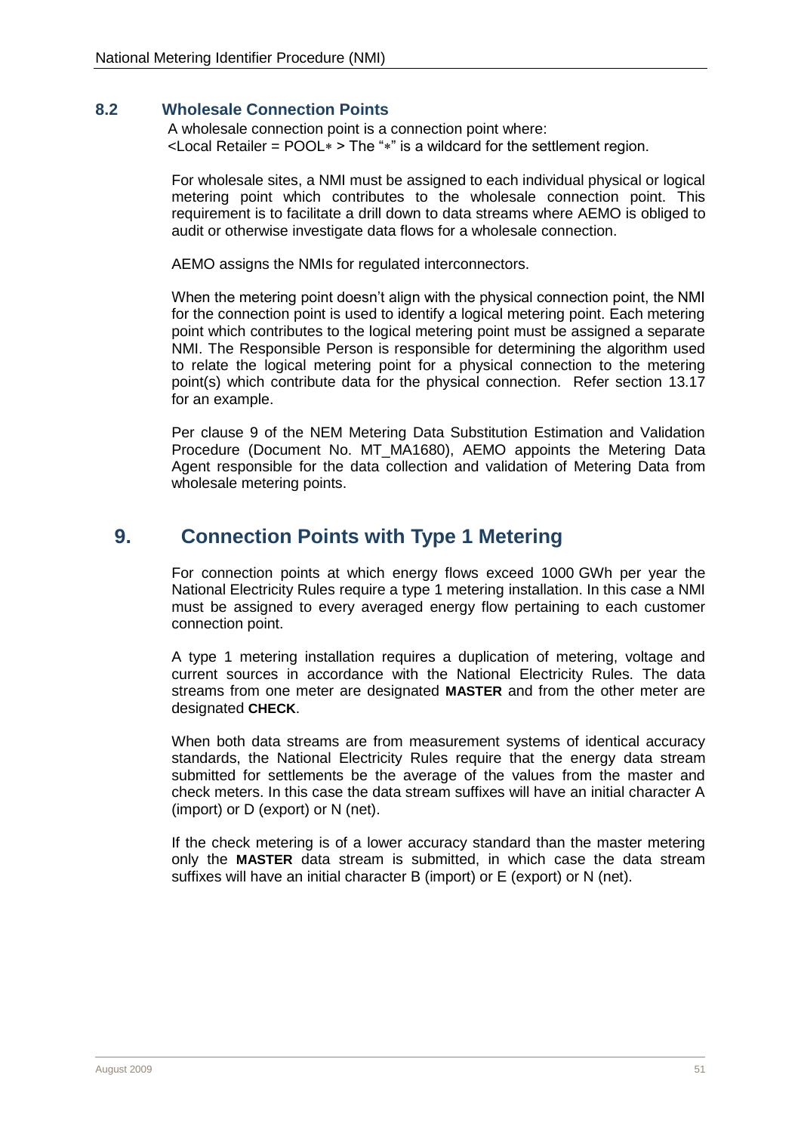#### <span id="page-12-0"></span>**8.2 Wholesale Connection Points**

A wholesale connection point is a connection point where:  $\epsilon$ Local Retailer = POOL $*$  > The " $*$ " is a wildcard for the settlement region.

For wholesale sites, a NMI must be assigned to each individual physical or logical metering point which contributes to the wholesale connection point. This requirement is to facilitate a drill down to data streams where AEMO is obliged to audit or otherwise investigate data flows for a wholesale connection.

AEMO assigns the NMIs for regulated interconnectors.

When the metering point doesn't align with the physical connection point, the NMI for the connection point is used to identify a logical metering point. Each metering point which contributes to the logical metering point must be assigned a separate NMI. The Responsible Person is responsible for determining the algorithm used to relate the logical metering point for a physical connection to the metering point(s) which contribute data for the physical connection. Refer section [13.17](#page-30-1) for an example.

Per clause 9 of the NEM Metering Data Substitution Estimation and Validation Procedure (Document No. MT\_MA1680), AEMO appoints the Metering Data Agent responsible for the data collection and validation of Metering Data from wholesale metering points.

# <span id="page-12-1"></span>**9. Connection Points with Type 1 Metering**

For connection points at which energy flows exceed 1000 GWh per year the National Electricity Rules require a type 1 metering installation. In this case a NMI must be assigned to every averaged energy flow pertaining to each customer connection point.

A type 1 metering installation requires a duplication of metering, voltage and current sources in accordance with the National Electricity Rules. The data streams from one meter are designated **MASTER** and from the other meter are designated **CHECK**.

When both data streams are from measurement systems of identical accuracy standards, the National Electricity Rules require that the energy data stream submitted for settlements be the average of the values from the master and check meters. In this case the data stream suffixes will have an initial character A (import) or D (export) or N (net).

If the check metering is of a lower accuracy standard than the master metering only the **MASTER** data stream is submitted, in which case the data stream suffixes will have an initial character B (import) or E (export) or N (net).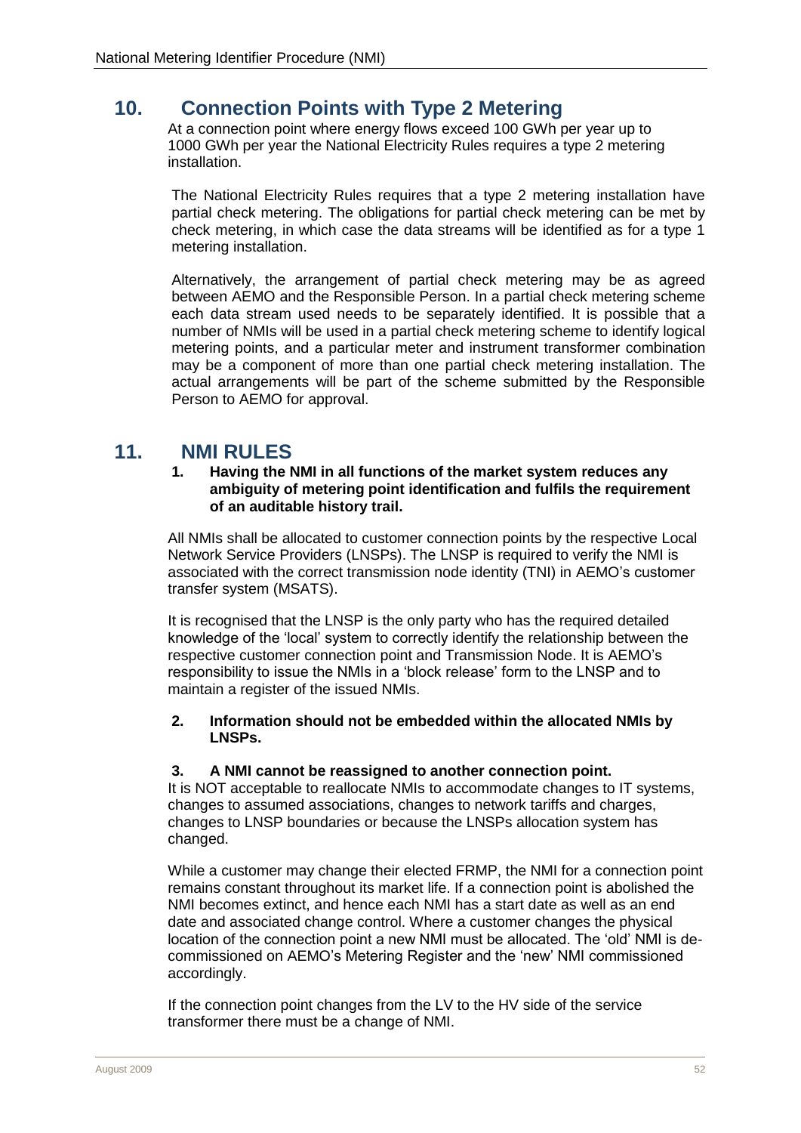# <span id="page-13-0"></span>**10. Connection Points with Type 2 Metering**

At a connection point where energy flows exceed 100 GWh per year up to 1000 GWh per year the National Electricity Rules requires a type 2 metering installation.

The National Electricity Rules requires that a type 2 metering installation have partial check metering. The obligations for partial check metering can be met by check metering, in which case the data streams will be identified as for a type 1 metering installation.

Alternatively, the arrangement of partial check metering may be as agreed between AEMO and the Responsible Person. In a partial check metering scheme each data stream used needs to be separately identified. It is possible that a number of NMIs will be used in a partial check metering scheme to identify logical metering points, and a particular meter and instrument transformer combination may be a component of more than one partial check metering installation. The actual arrangements will be part of the scheme submitted by the Responsible Person to AEMO for approval.

# <span id="page-13-1"></span>**11. NMI RULES**

#### **1. Having the NMI in all functions of the market system reduces any ambiguity of metering point identification and fulfils the requirement of an auditable history trail.**

All NMIs shall be allocated to customer connection points by the respective Local Network Service Providers (LNSPs). The LNSP is required to verify the NMI is associated with the correct transmission node identity (TNI) in AEMO's customer transfer system (MSATS).

It is recognised that the LNSP is the only party who has the required detailed knowledge of the 'local' system to correctly identify the relationship between the respective customer connection point and Transmission Node. It is AEMO's responsibility to issue the NMIs in a 'block release' form to the LNSP and to maintain a register of the issued NMIs.

#### **2. Information should not be embedded within the allocated NMIs by LNSPs.**

#### **3. A NMI cannot be reassigned to another connection point.**

It is NOT acceptable to reallocate NMIs to accommodate changes to IT systems, changes to assumed associations, changes to network tariffs and charges, changes to LNSP boundaries or because the LNSPs allocation system has changed.

While a customer may change their elected FRMP, the NMI for a connection point remains constant throughout its market life. If a connection point is abolished the NMI becomes extinct, and hence each NMI has a start date as well as an end date and associated change control. Where a customer changes the physical location of the connection point a new NMI must be allocated. The 'old' NMI is decommissioned on AEMO's Metering Register and the 'new' NMI commissioned accordingly.

If the connection point changes from the LV to the HV side of the service transformer there must be a change of NMI.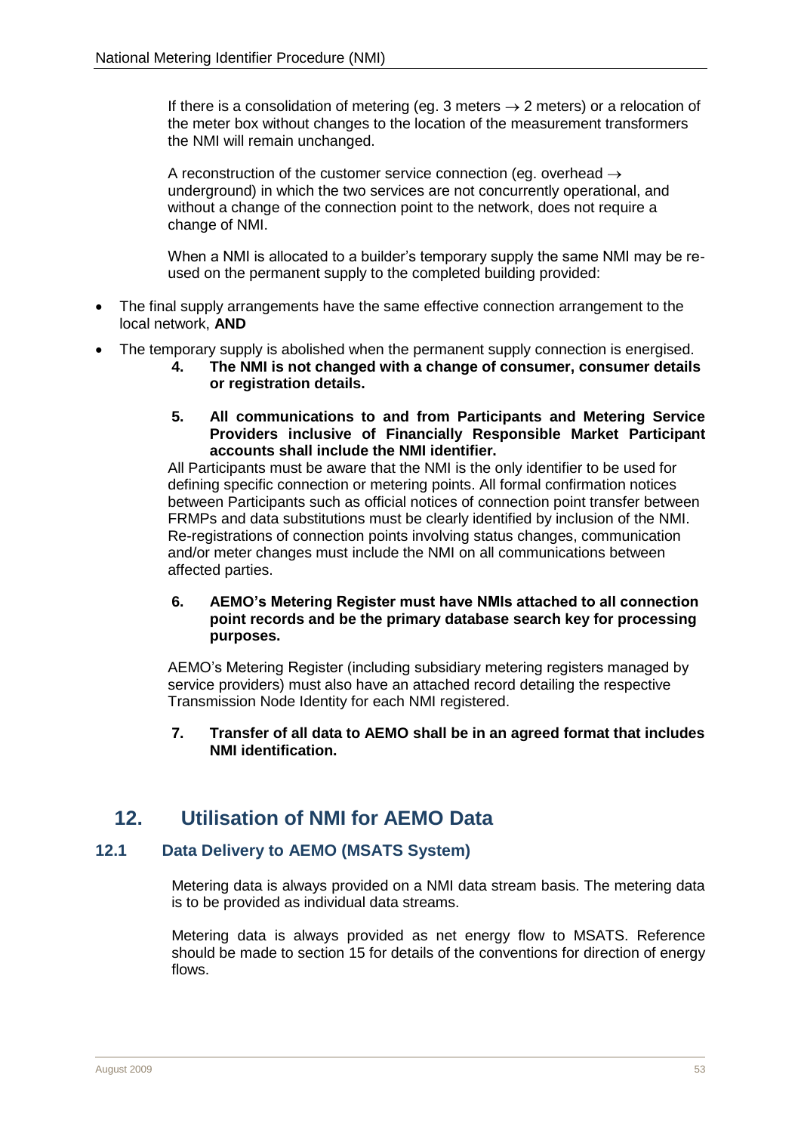If there is a consolidation of metering (eg. 3 meters  $\rightarrow$  2 meters) or a relocation of the meter box without changes to the location of the measurement transformers the NMI will remain unchanged.

A reconstruction of the customer service connection (eg. overhead  $\rightarrow$ underground) in which the two services are not concurrently operational, and without a change of the connection point to the network, does not require a change of NMI.

When a NMI is allocated to a builder's temporary supply the same NMI may be reused on the permanent supply to the completed building provided:

- The final supply arrangements have the same effective connection arrangement to the local network, **AND**
- The temporary supply is abolished when the permanent supply connection is energised.
	- **4. The NMI is not changed with a change of consumer, consumer details or registration details.**
	- **5. All communications to and from Participants and Metering Service Providers inclusive of Financially Responsible Market Participant accounts shall include the NMI identifier.**

All Participants must be aware that the NMI is the only identifier to be used for defining specific connection or metering points. All formal confirmation notices between Participants such as official notices of connection point transfer between FRMPs and data substitutions must be clearly identified by inclusion of the NMI. Re-registrations of connection points involving status changes, communication and/or meter changes must include the NMI on all communications between affected parties.

#### **6. AEMO's Metering Register must have NMIs attached to all connection point records and be the primary database search key for processing purposes.**

AEMO's Metering Register (including subsidiary metering registers managed by service providers) must also have an attached record detailing the respective Transmission Node Identity for each NMI registered.

#### **7. Transfer of all data to AEMO shall be in an agreed format that includes NMI identification.**

# <span id="page-14-0"></span>**12. Utilisation of NMI for AEMO Data**

#### <span id="page-14-1"></span>**12.1 Data Delivery to AEMO (MSATS System)**

Metering data is always provided on a NMI data stream basis. The metering data is to be provided as individual data streams.

Metering data is always provided as net energy flow to MSATS. Reference should be made to section [15](#page-36-1) for details of the conventions for direction of energy flows.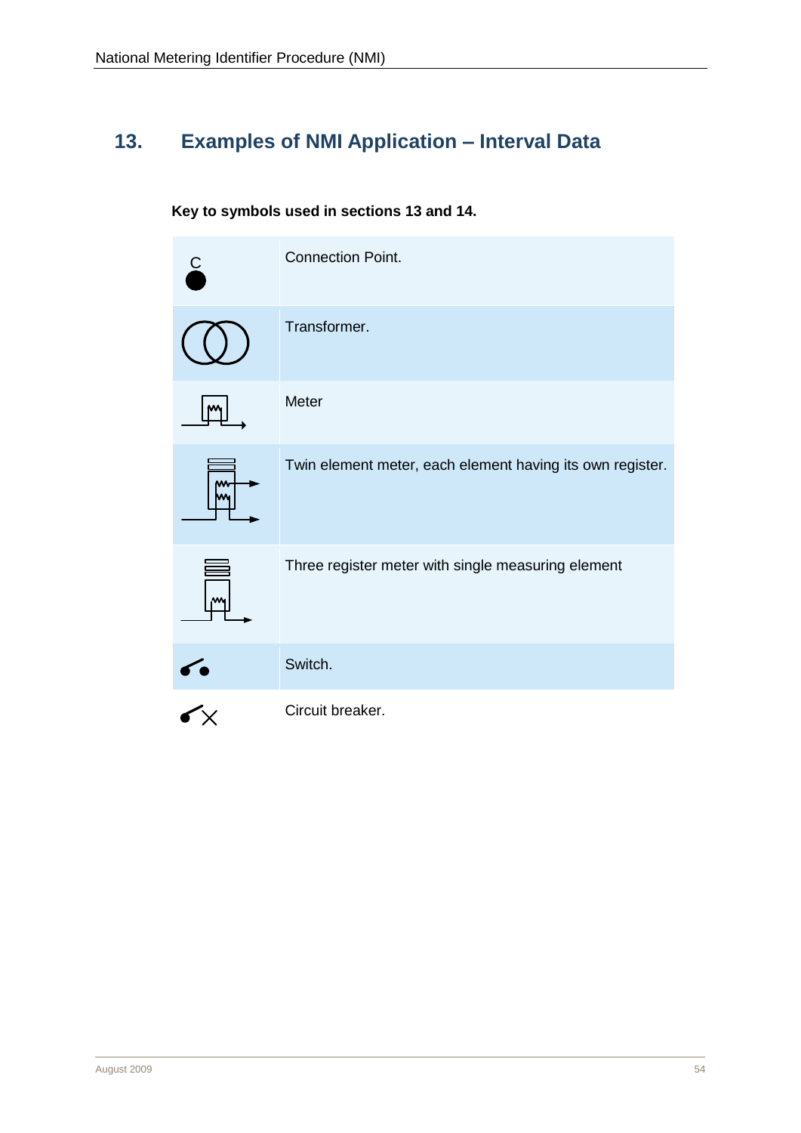# <span id="page-15-0"></span>**13. Examples of NMI Application – Interval Data**

# <span id="page-15-1"></span>**Key to symbols used in sections [13](#page-15-1) and [14.](#page-33-3)**

|        | <b>Connection Point.</b>                                  |
|--------|-----------------------------------------------------------|
|        | Transformer.                                              |
|        | Meter                                                     |
| w<br>w | Twin element meter, each element having its own register. |
| ₩      | Three register meter with single measuring element        |
|        | Switch.                                                   |
|        | Circuit breaker.                                          |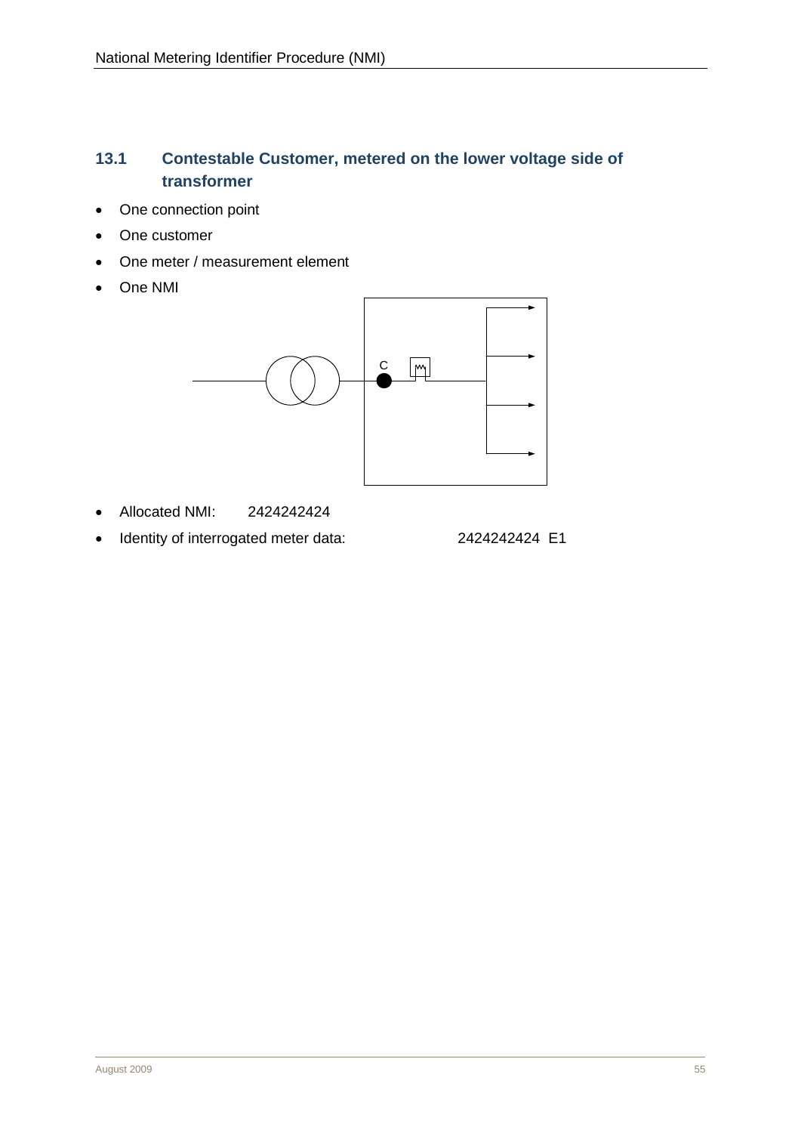# <span id="page-16-0"></span>**13.1 Contestable Customer, metered on the lower voltage side of transformer**

- One connection point
- One customer
- One meter / measurement element
- One NMI



- Allocated NMI: 2424242424
- Identity of interrogated meter data: 2424242424 E1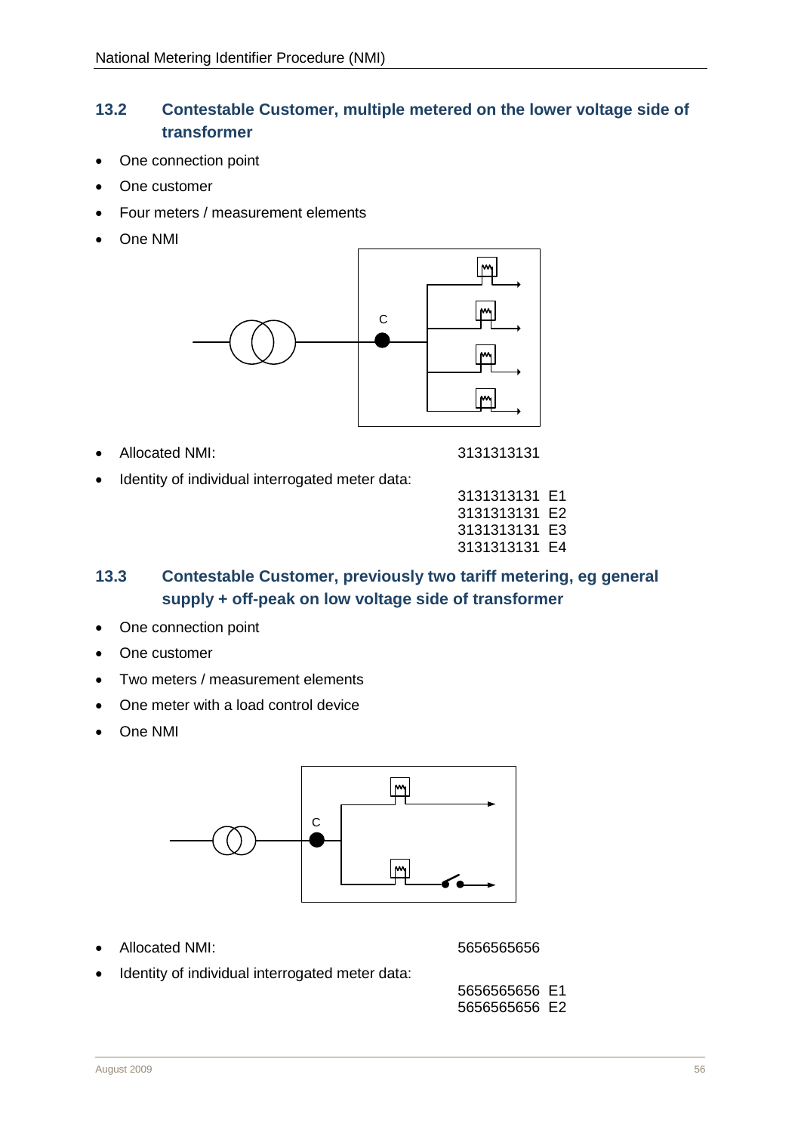# <span id="page-17-0"></span>**13.2 Contestable Customer, multiple metered on the lower voltage side of transformer**

- One connection point
- One customer
- Four meters / measurement elements
- One NMI



• Allocated NMI: 3131313131

Identity of individual interrogated meter data:

| 3131313131 | F1 |
|------------|----|
| 3131313131 | F2 |
| 3131313131 | E3 |
| 3131313131 | E4 |

# <span id="page-17-1"></span>**13.3 Contestable Customer, previously two tariff metering, eg general supply + off-peak on low voltage side of transformer**

- One connection point
- One customer
- Two meters / measurement elements
- One meter with a load control device
- One NMI



• Allocated NMI: 5656565656

Identity of individual interrogated meter data: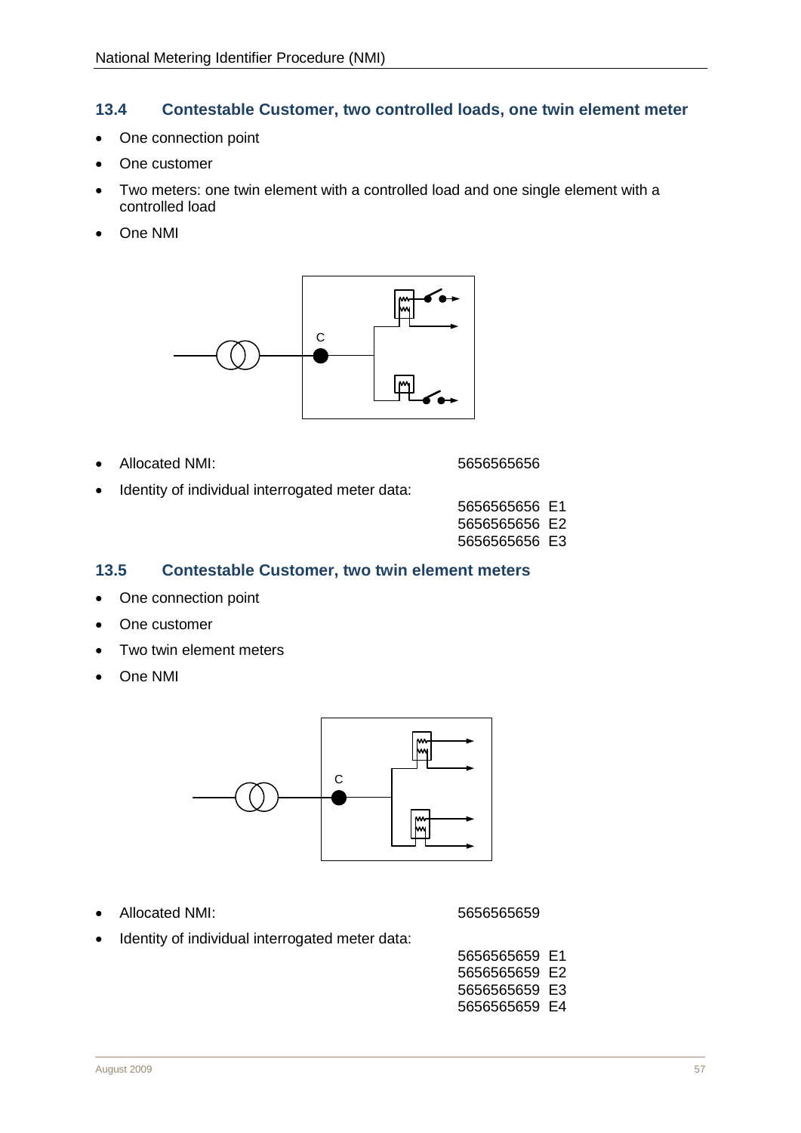#### <span id="page-18-2"></span><span id="page-18-0"></span>**13.4 Contestable Customer, two controlled loads, one twin element meter**

- One connection point
- One customer
- Two meters: one twin element with a controlled load and one single element with a controlled load
- One NMI



- Allocated NMI: 3656565656565656
- 
- Identity of individual interrogated meter data:

| 5656565656 E1 |  |
|---------------|--|
| 5656565656 E2 |  |
| 5656565656 E3 |  |

#### <span id="page-18-3"></span><span id="page-18-1"></span>**13.5 Contestable Customer, two twin element meters**

- One connection point
- One customer
- Two twin element meters
- One NMI



• Allocated NMI: 5656565659

Identity of individual interrogated meter data:

5656565659 E1 5656565659 E2 5656565659 E3 5656565659 E4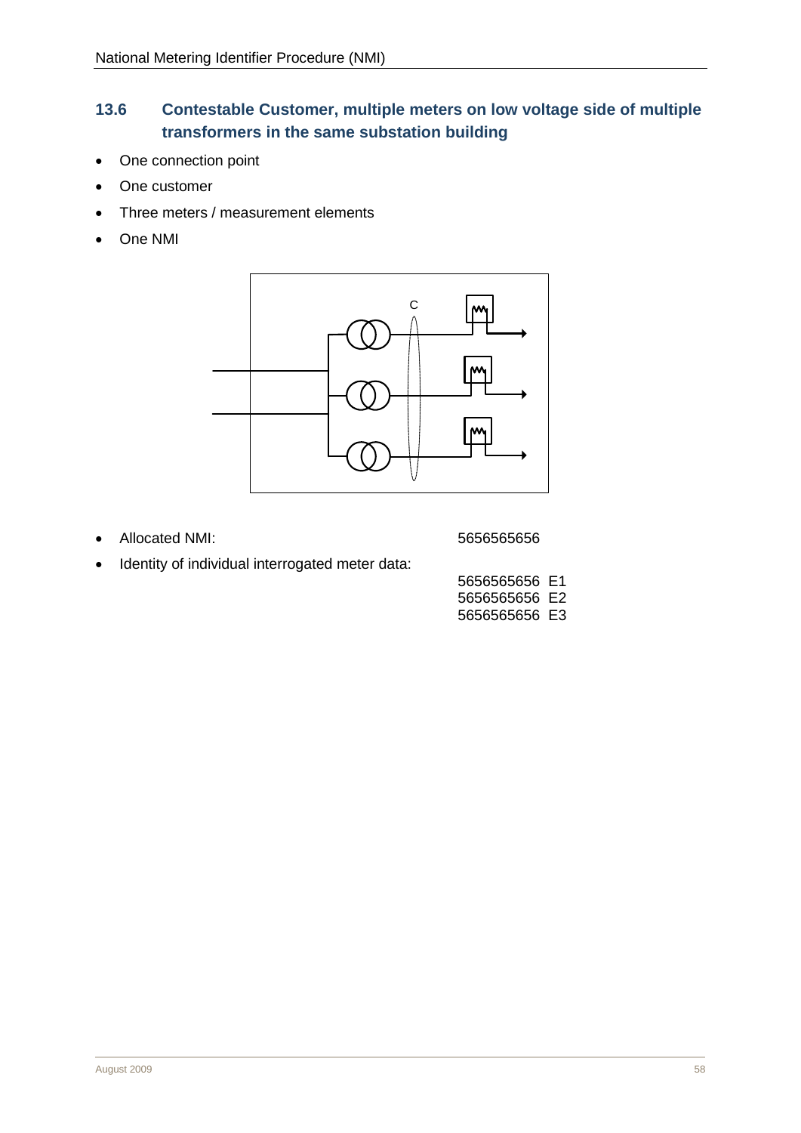# <span id="page-19-0"></span>**13.6 Contestable Customer, multiple meters on low voltage side of multiple transformers in the same substation building**

- One connection point
- One customer
- Three meters / measurement elements
- One NMI



• Allocated NMI: 5656565656

Identity of individual interrogated meter data:

| 5656565656 E1 |  |
|---------------|--|
| 5656565656 E2 |  |
| 5656565656 E3 |  |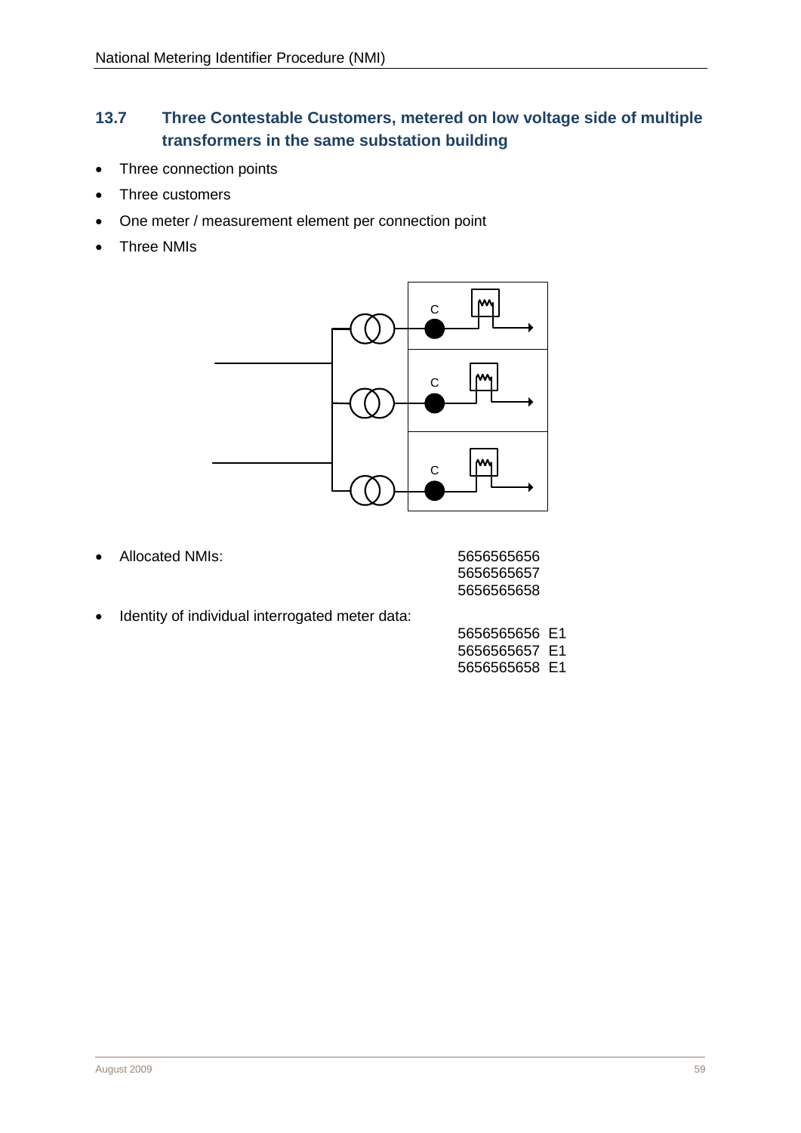# <span id="page-20-0"></span>**13.7 Three Contestable Customers, metered on low voltage side of multiple transformers in the same substation building**

- Three connection points
- Three customers
- One meter / measurement element per connection point
- Three NMIs



• Allocated NMIs:

| 5656565656 |  |
|------------|--|
| 5656565657 |  |
| 5656565658 |  |

• Identity of individual interrogated meter data:

| 5656565656 E1         |  |
|-----------------------|--|
| 5656565657 E1         |  |
| 5656565658 <b>E</b> 1 |  |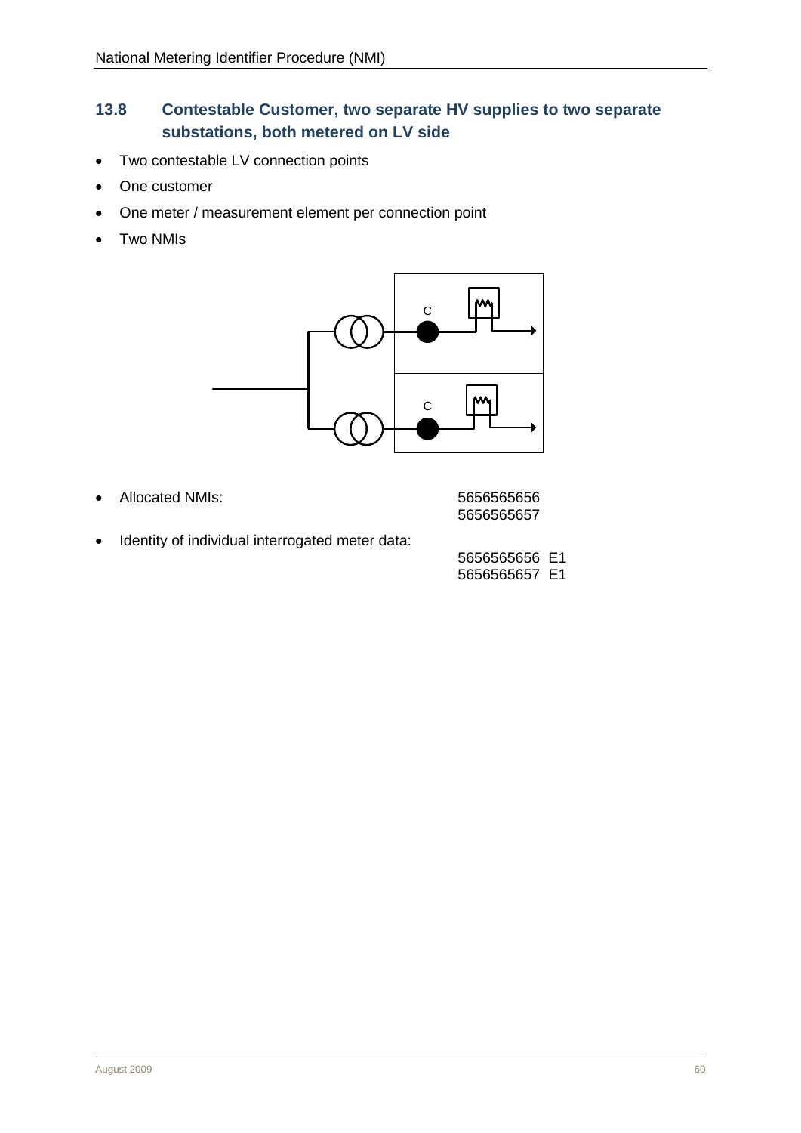# <span id="page-21-0"></span>**13.8 Contestable Customer, two separate HV supplies to two separate substations, both metered on LV side**

- Two contestable LV connection points
- One customer
- One meter / measurement element per connection point
- Two NMIs



• Allocated NMIs: 5656565656

5656565657

• Identity of individual interrogated meter data: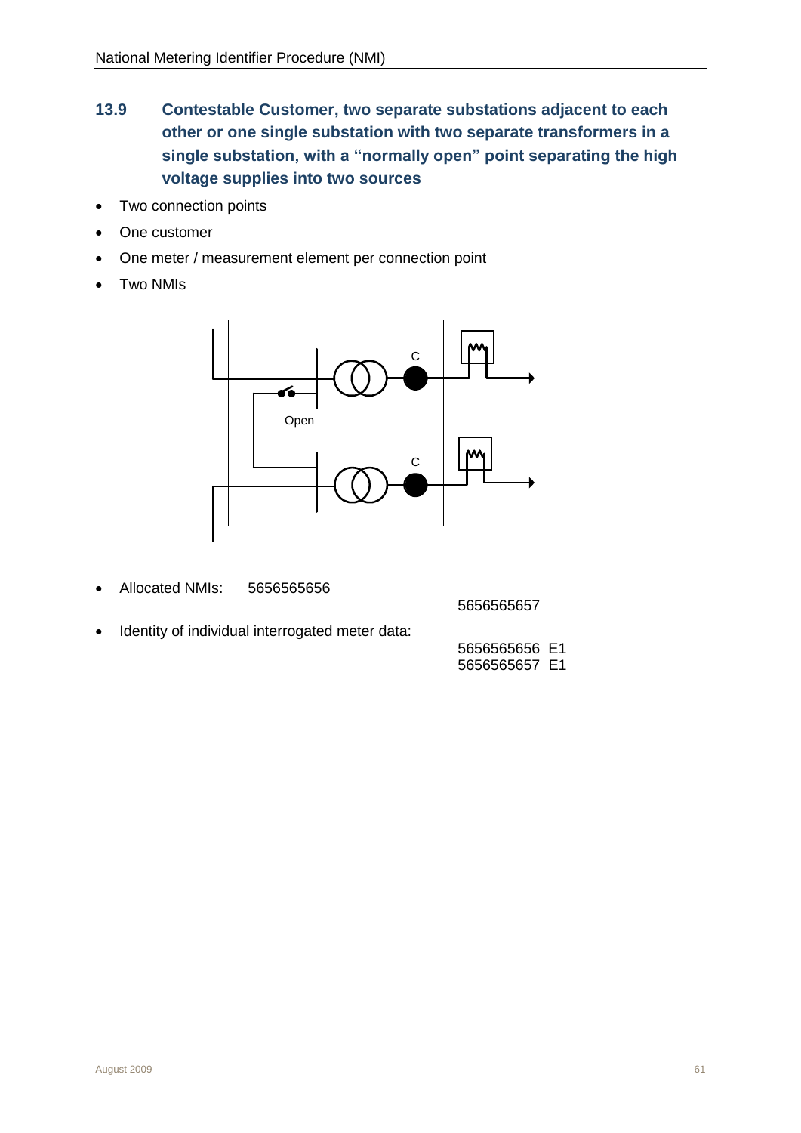- <span id="page-22-0"></span>**13.9 Contestable Customer, two separate substations adjacent to each other or one single substation with two separate transformers in a single substation, with a "normally open" point separating the high voltage supplies into two sources**
- Two connection points
- One customer
- One meter / measurement element per connection point
- Two NMIs



• Allocated NMIs: 5656565656

5656565657

Identity of individual interrogated meter data: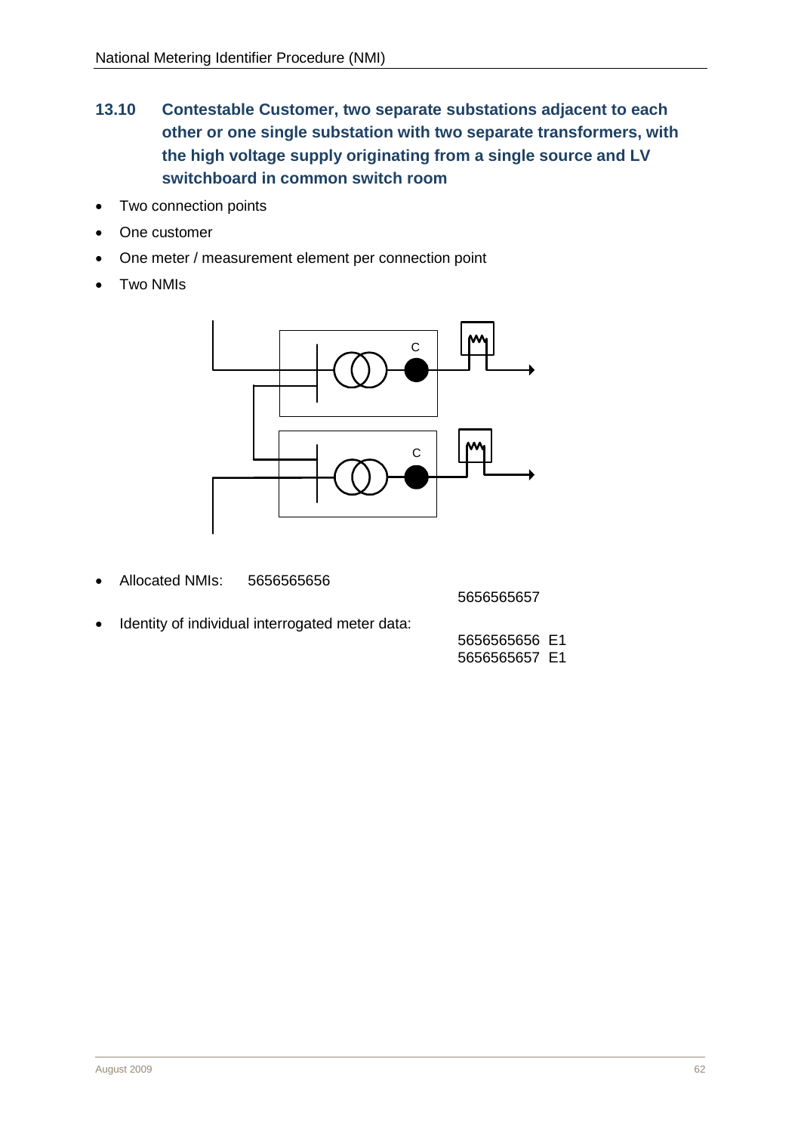- <span id="page-23-0"></span>**13.10 Contestable Customer, two separate substations adjacent to each other or one single substation with two separate transformers, with the high voltage supply originating from a single source and LV switchboard in common switch room**
- Two connection points
- One customer
- One meter / measurement element per connection point
- Two NMIs



• Allocated NMIs: 5656565656

5656565657

• Identity of individual interrogated meter data: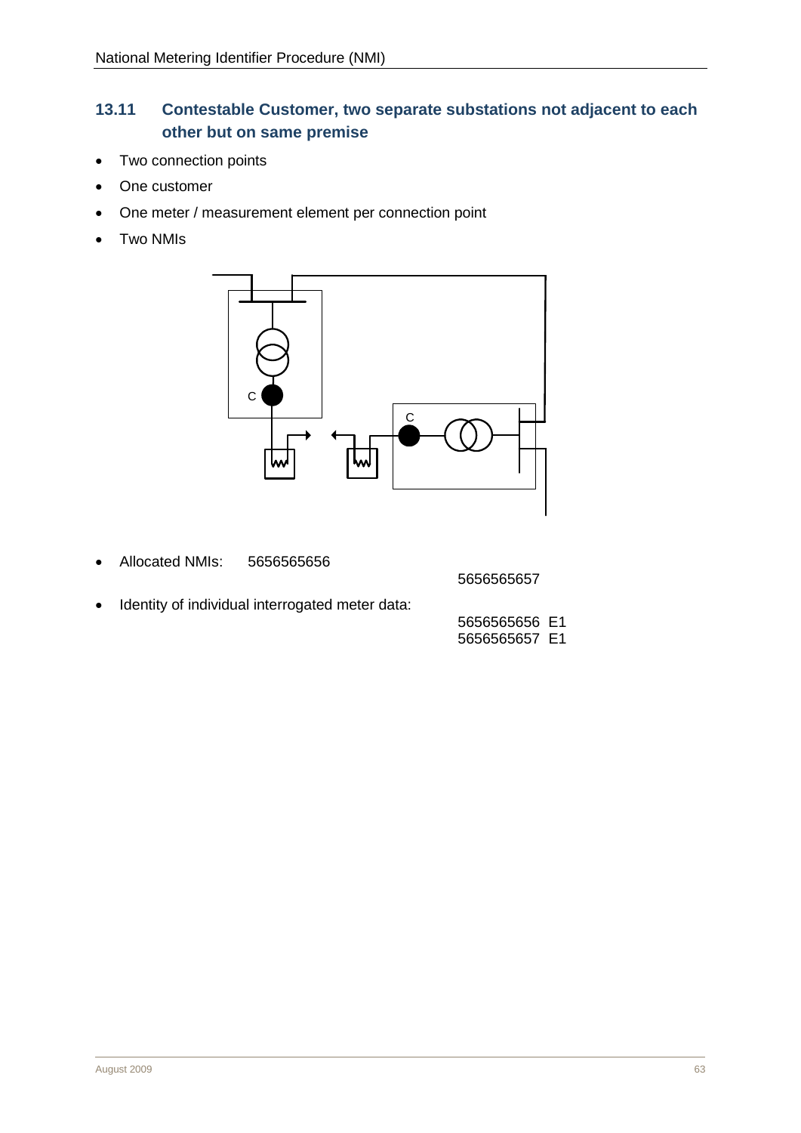# <span id="page-24-0"></span>**13.11 Contestable Customer, two separate substations not adjacent to each other but on same premise**

- Two connection points
- One customer
- One meter / measurement element per connection point
- Two NMIs



• Allocated NMIs: 5656565656

5656565657

• Identity of individual interrogated meter data: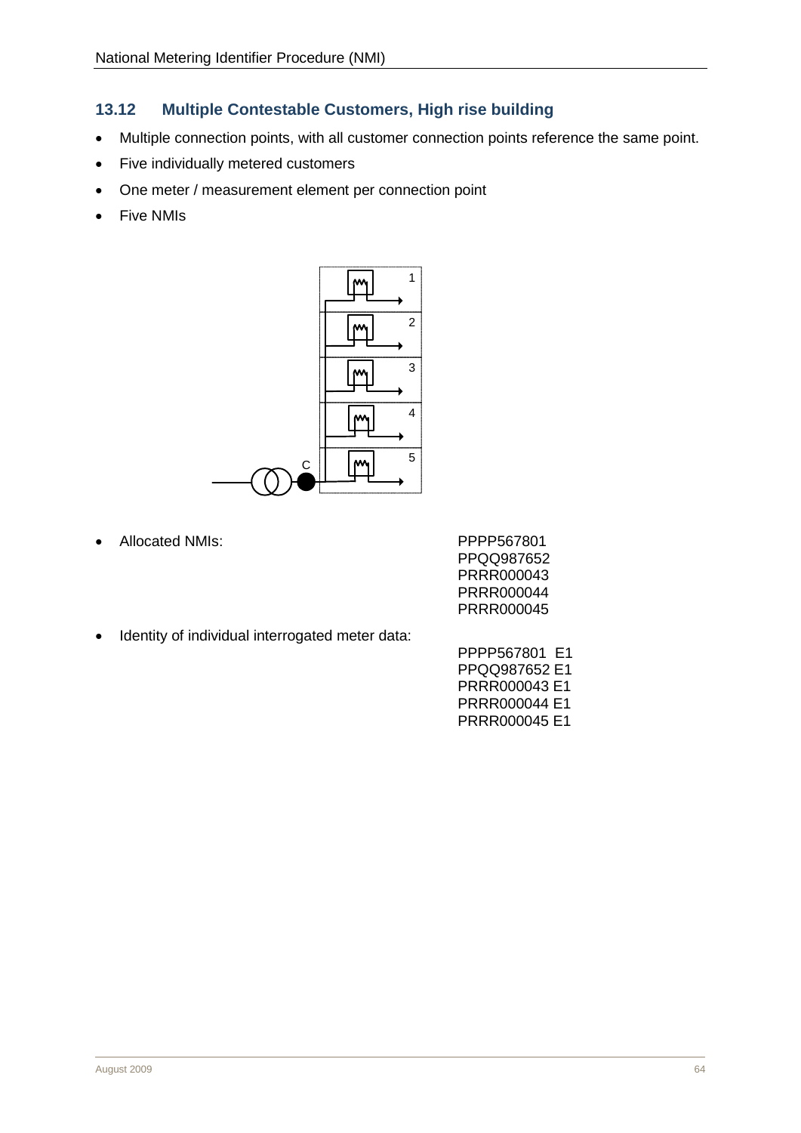# <span id="page-25-0"></span>**13.12 Multiple Contestable Customers, High rise building**

- Multiple connection points, with all customer connection points reference the same point.
- Five individually metered customers
- One meter / measurement element per connection point
- Five NMIs



• Allocated NMIs:

| PPPP567801 |
|------------|
| PPQQ987652 |
| PRRR000043 |
| PRRR000044 |
| PRRR000045 |

• Identity of individual interrogated meter data:

| PPPP567801 E1 |  |
|---------------|--|
| PPOO987652 E1 |  |
| PRRR000043 E1 |  |
| PRRR000044 E1 |  |
| PRRR000045 E1 |  |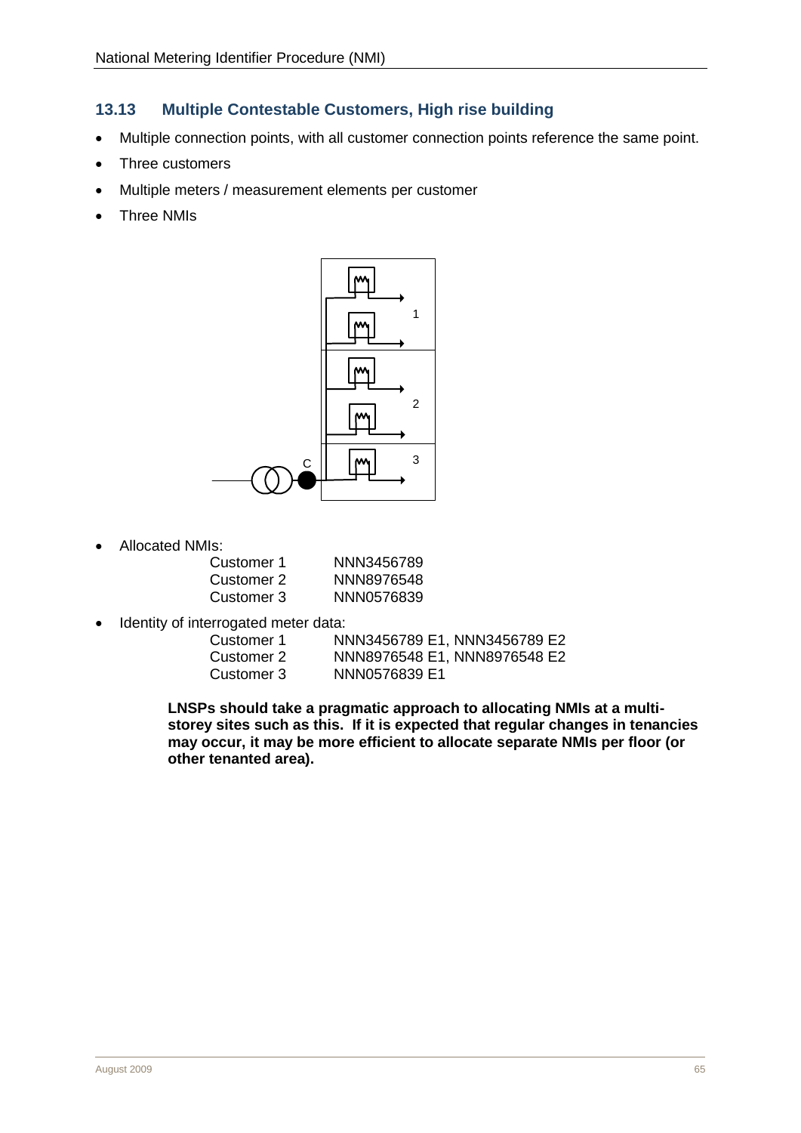## <span id="page-26-0"></span>**13.13 Multiple Contestable Customers, High rise building**

- Multiple connection points, with all customer connection points reference the same point.
- Three customers
- Multiple meters / measurement elements per customer
- Three NMIs



• Allocated NMIs:

| Customer 1  | NNN3456789 |
|-------------|------------|
| Customer 2. | NNN8976548 |
| Customer 3  | NNN0576839 |

• Identity of interrogated meter data:

| Customer 1 | NNN3456789 E1, NNN3456789 E2 |
|------------|------------------------------|
| Customer 2 | NNN8976548 E1, NNN8976548 E2 |
| Customer 3 | NNN0576839 E1                |

**LNSPs should take a pragmatic approach to allocating NMIs at a multistorey sites such as this. If it is expected that regular changes in tenancies may occur, it may be more efficient to allocate separate NMIs per floor (or other tenanted area).**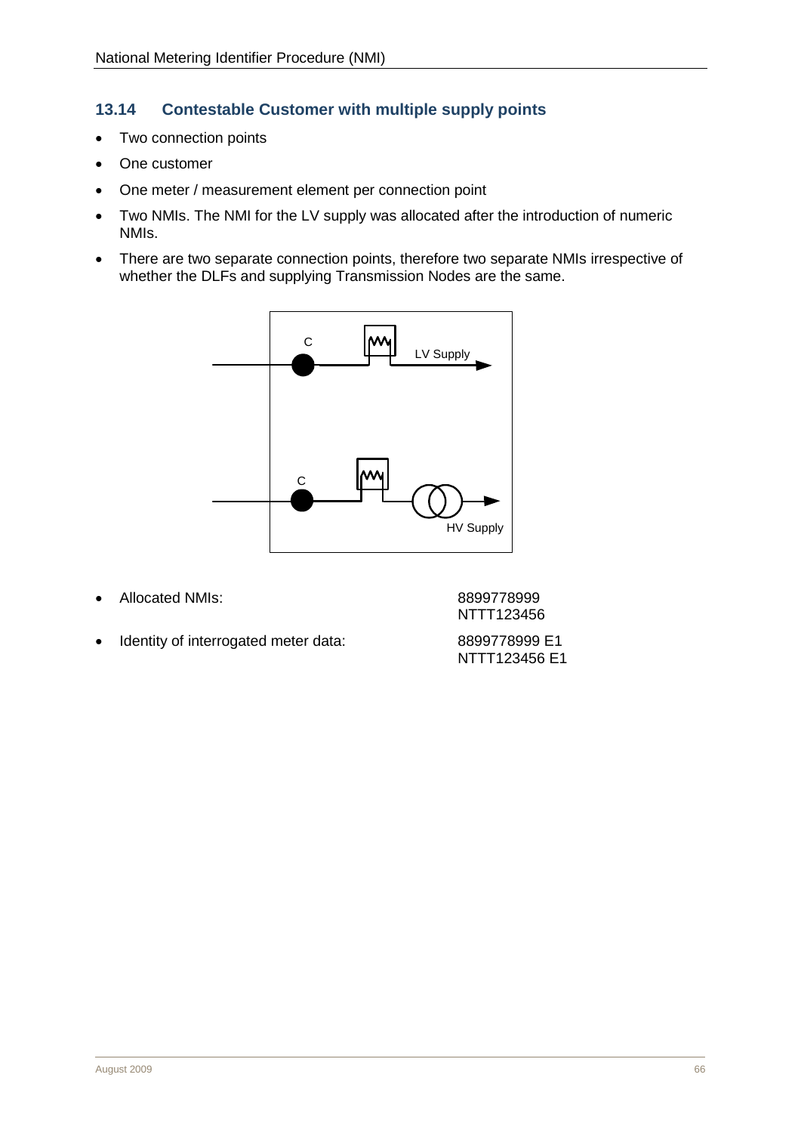## <span id="page-27-0"></span>**13.14 Contestable Customer with multiple supply points**

- Two connection points
- One customer
- One meter / measurement element per connection point
- Two NMIs. The NMI for the LV supply was allocated after the introduction of numeric NMIs.
- There are two separate connection points, therefore two separate NMIs irrespective of whether the DLFs and supplying Transmission Nodes are the same.



• Allocated NMIs: 8899778999

NTTT123456

• Identity of interrogated meter data: 8899778999 E1

NTTT123456 E1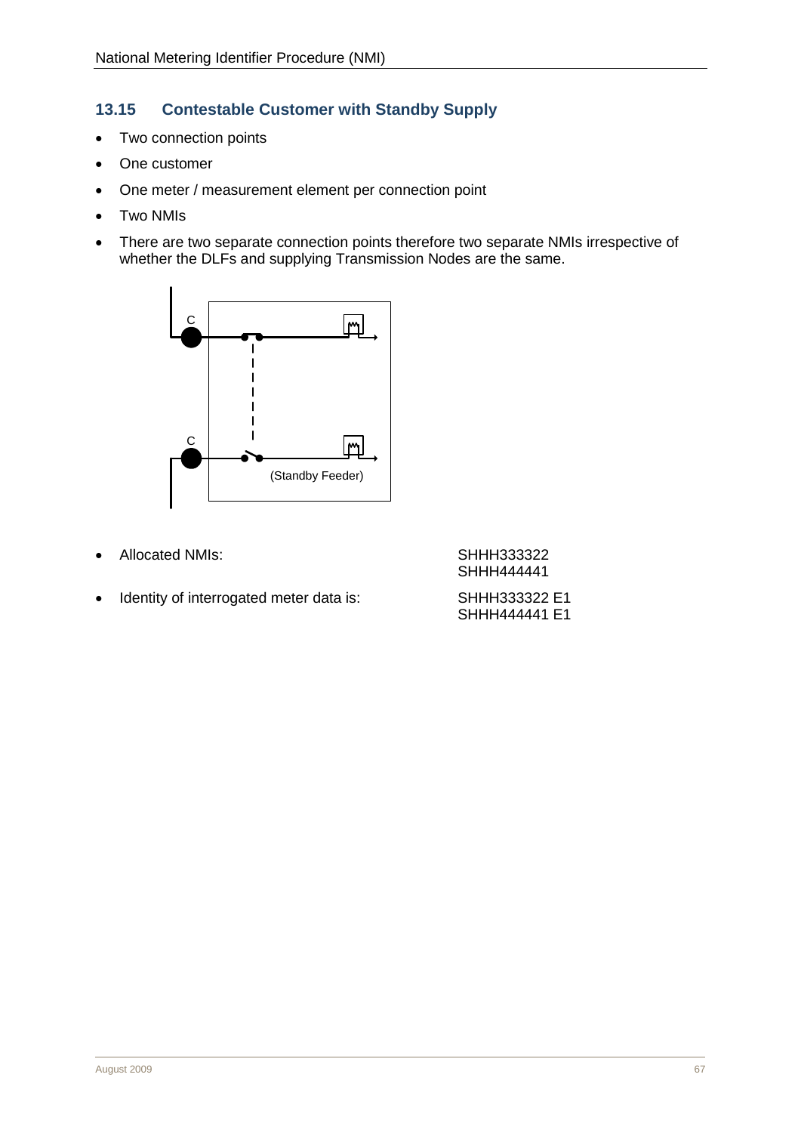# <span id="page-28-0"></span>**13.15 Contestable Customer with Standby Supply**

- Two connection points
- One customer
- One meter / measurement element per connection point
- Two NMIs
- There are two separate connection points therefore two separate NMIs irrespective of whether the DLFs and supplying Transmission Nodes are the same.



• Allocated NMIs: SHHH333322

SHHH444441

• Identity of interrogated meter data is: SHHH333322 E1 SHHH444441 E1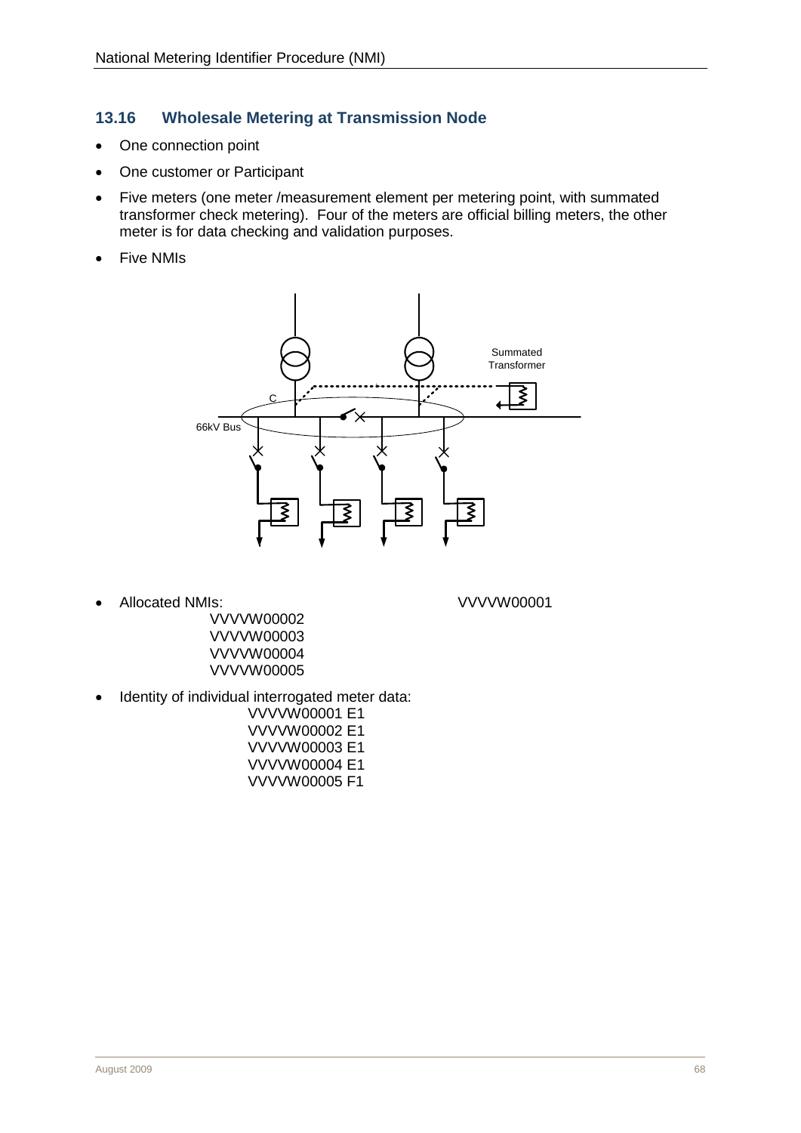## <span id="page-29-0"></span>**13.16 Wholesale Metering at Transmission Node**

- One connection point
- One customer or Participant
- Five meters (one meter /measurement element per metering point, with summated transformer check metering). Four of the meters are official billing meters, the other meter is for data checking and validation purposes.
- Five NMIs



• Allocated NMIs: VVVVW00001

- VVVVW00002 VVVVW00003 VVVVW00004 VVVVW00005
- Identity of individual interrogated meter data:
	- VVVVW00001 E1 VVVVW00002 E1 VVVVW00003 E1 VVVVW00004 E1 VVVVW00005 F1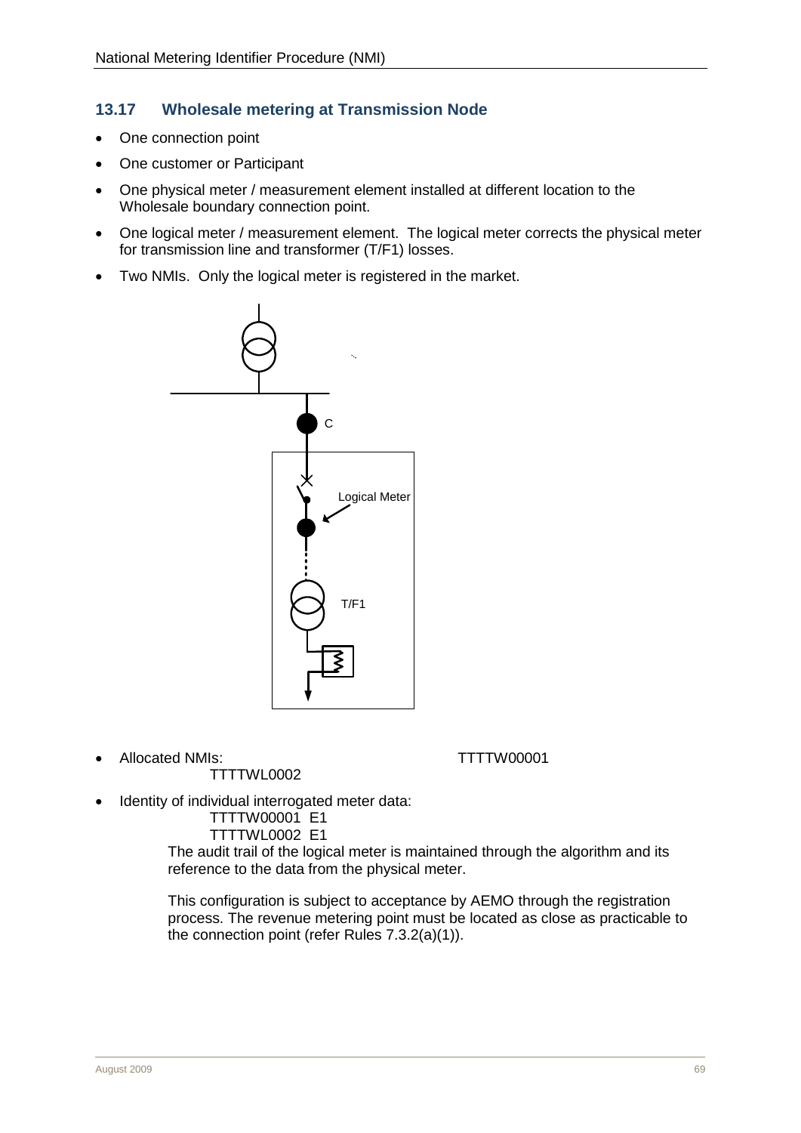# <span id="page-30-1"></span><span id="page-30-0"></span>**13.17 Wholesale metering at Transmission Node**

- One connection point
- One customer or Participant
- One physical meter / measurement element installed at different location to the Wholesale boundary connection point.
- One logical meter / measurement element. The logical meter corrects the physical meter for transmission line and transformer (T/F1) losses.
- Two NMIs. Only the logical meter is registered in the market.



• Allocated NMIs: TTTTW00001

TTTTWL0002

• Identity of individual interrogated meter data:

TTTTW00001 E1 TTTTWL0002 E1

The audit trail of the logical meter is maintained through the algorithm and its reference to the data from the physical meter.

This configuration is subject to acceptance by AEMO through the registration process. The revenue metering point must be located as close as practicable to the connection point (refer Rules 7.3.2(a)(1)).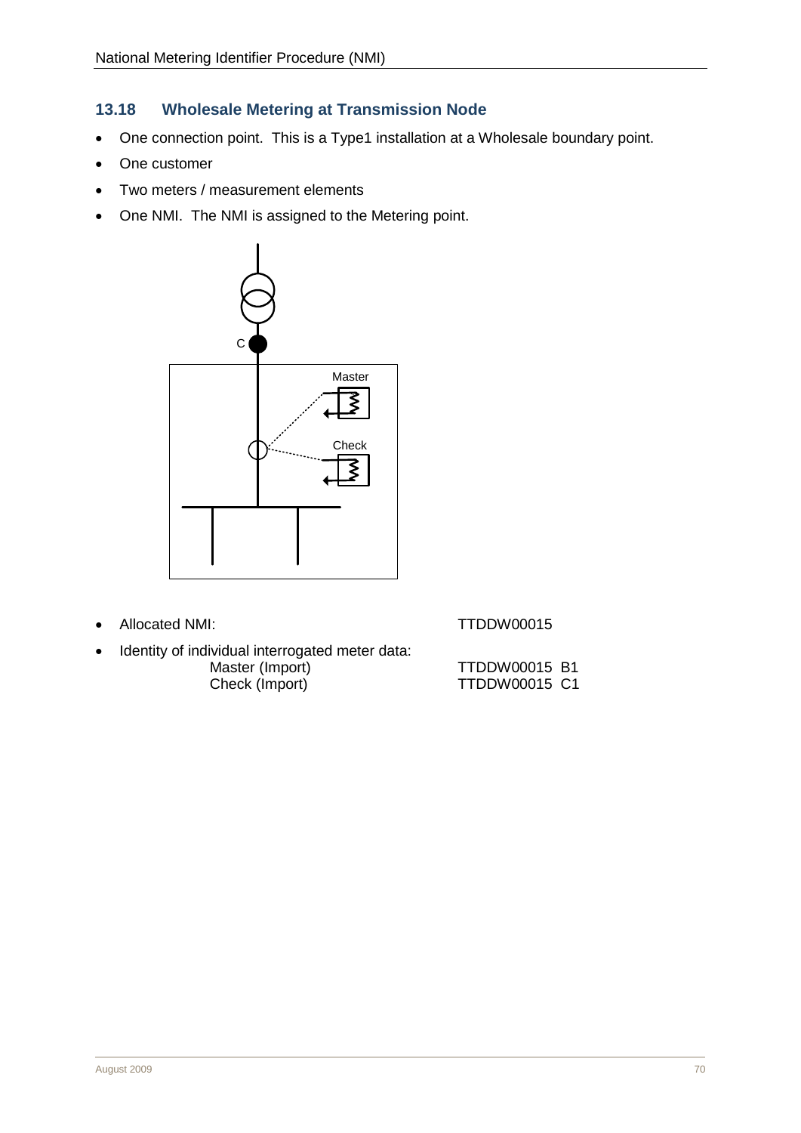# <span id="page-31-0"></span>**13.18 Wholesale Metering at Transmission Node**

- One connection point. This is a Type1 installation at a Wholesale boundary point.
- One customer
- Two meters / measurement elements
- One NMI. The NMI is assigned to the Metering point.



• Allocated NMI: TTDDW00015

Identity of individual interrogated meter data:<br>Master (Import) Master (Import) TTDDW00015 B1<br>Check (Import) TTDDW00015 C1

TTDDW00015 C1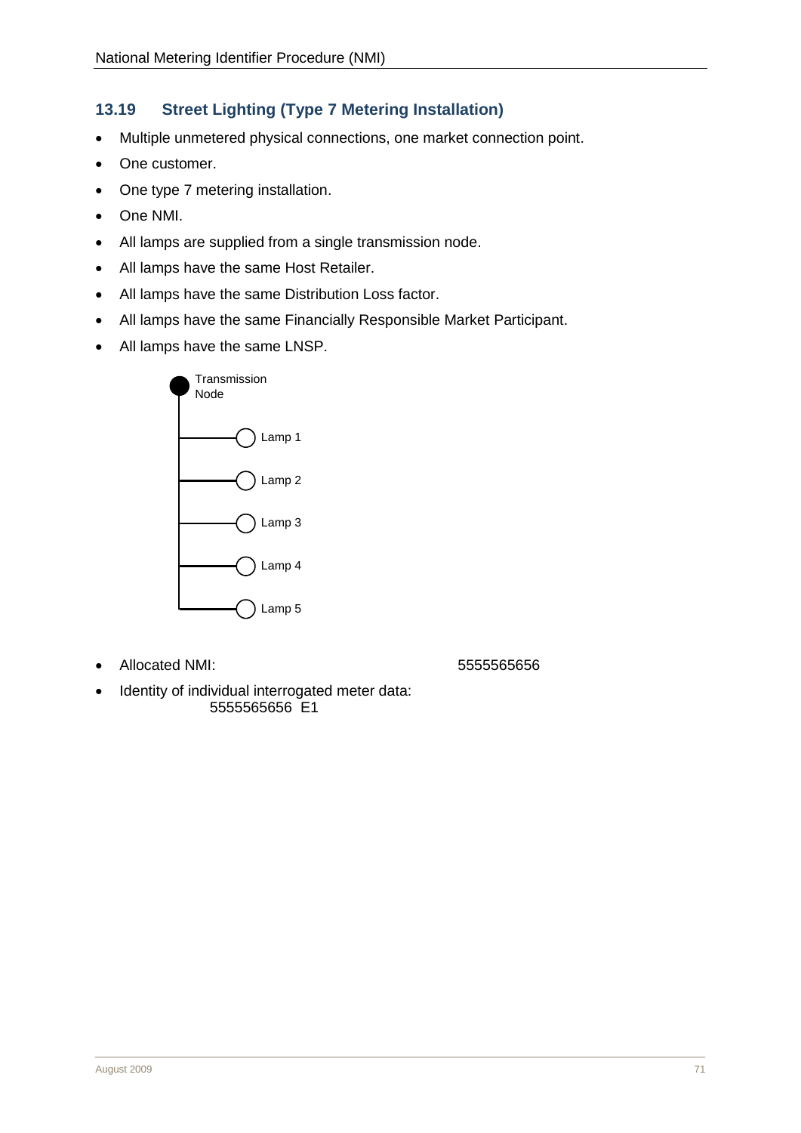# <span id="page-32-0"></span>**13.19 Street Lighting (Type 7 Metering Installation)**

- Multiple unmetered physical connections, one market connection point.
- One customer.
- One type 7 metering installation.
- One NMI.
- All lamps are supplied from a single transmission node.
- All lamps have the same Host Retailer.
- All lamps have the same Distribution Loss factor.
- All lamps have the same Financially Responsible Market Participant.
- All lamps have the same LNSP.



• Allocated NMI: 555556565656

• Identity of individual interrogated meter data: 5555565656 E1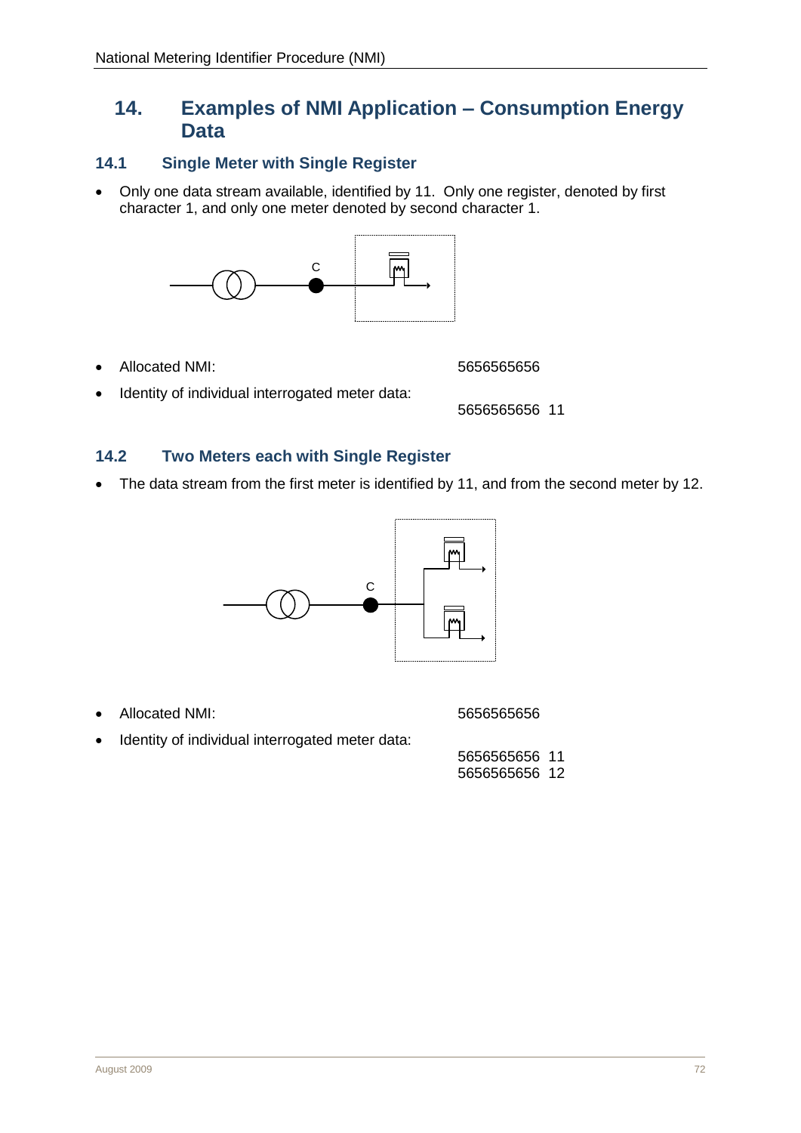# <span id="page-33-3"></span><span id="page-33-0"></span>**14. Examples of NMI Application – Consumption Energy Data**

## <span id="page-33-1"></span>**14.1 Single Meter with Single Register**

• Only one data stream available, identified by 11. Only one register, denoted by first character 1, and only one meter denoted by second character 1.



• Allocated NMI: 5656565656

• Identity of individual interrogated meter data:

5656565656 11

#### <span id="page-33-2"></span>**14.2 Two Meters each with Single Register**

• The data stream from the first meter is identified by 11, and from the second meter by 12.



• Allocated NMI: 5656565656

Identity of individual interrogated meter data:

5656565656 11 5656565656 12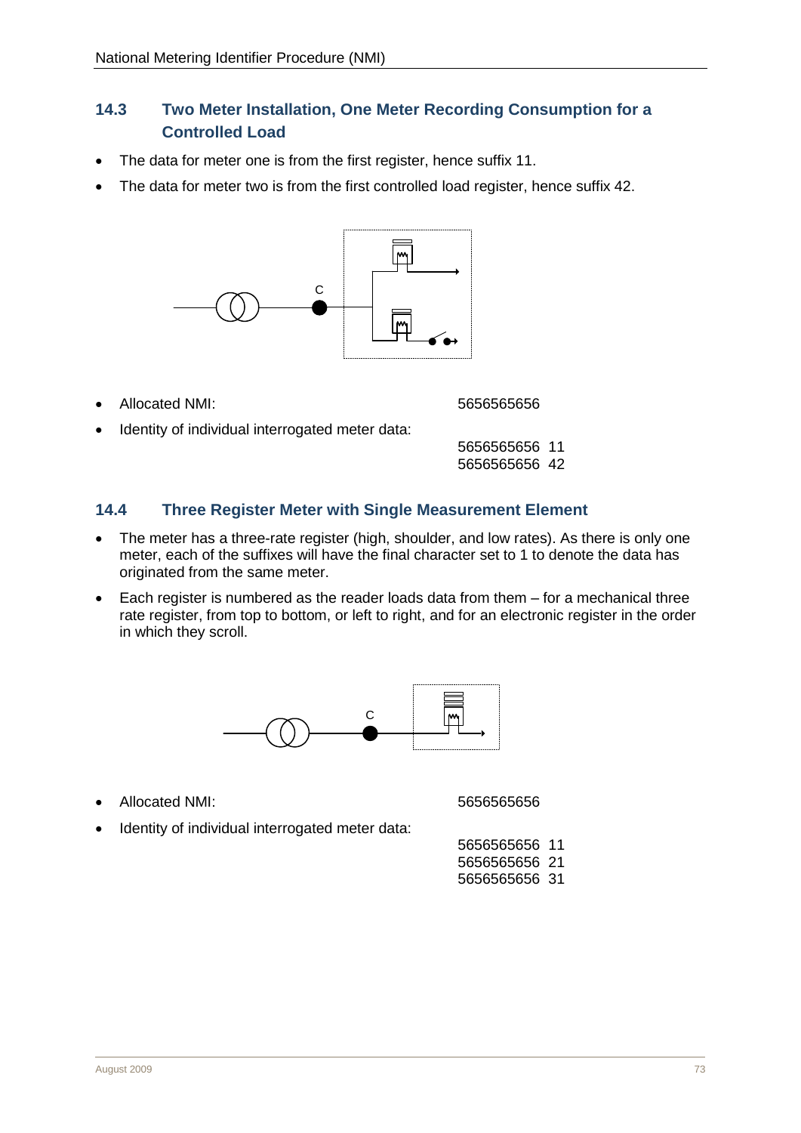# <span id="page-34-0"></span>**14.3 Two Meter Installation, One Meter Recording Consumption for a Controlled Load**

- The data for meter one is from the first register, hence suffix 11.
- The data for meter two is from the first controlled load register, hence suffix 42.



• Allocated NMI: 5656565656

Identity of individual interrogated meter data:

5656565656 11 5656565656 42

## <span id="page-34-1"></span>**14.4 Three Register Meter with Single Measurement Element**

- The meter has a three-rate register (high, shoulder, and low rates). As there is only one meter, each of the suffixes will have the final character set to 1 to denote the data has originated from the same meter.
- Each register is numbered as the reader loads data from them for a mechanical three rate register, from top to bottom, or left to right, and for an electronic register in the order in which they scroll.



• Allocated NMI: 5656565656

Identity of individual interrogated meter data:

| 5656565656 11 |  |
|---------------|--|
| 5656565656 21 |  |
| 5656565656 31 |  |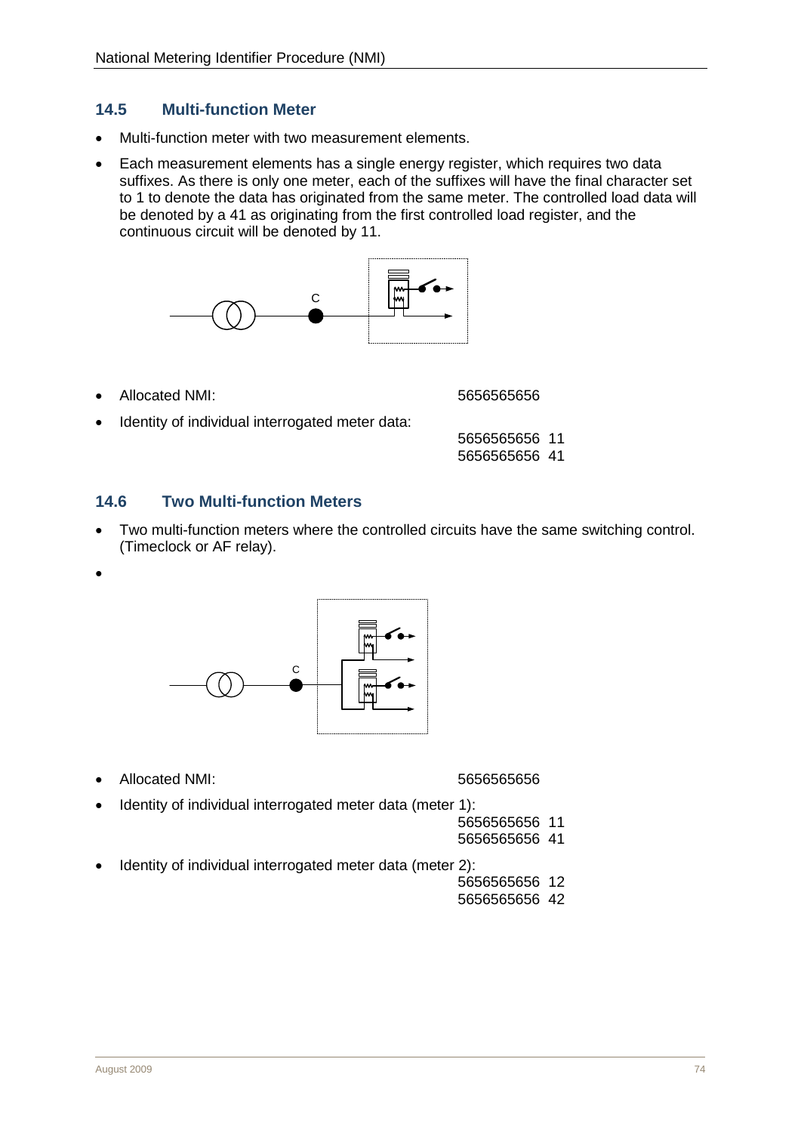## <span id="page-35-0"></span>**14.5 Multi-function Meter**

- Multi-function meter with two measurement elements.
- Each measurement elements has a single energy register, which requires two data suffixes. As there is only one meter, each of the suffixes will have the final character set to 1 to denote the data has originated from the same meter. The controlled load data will be denoted by a 41 as originating from the first controlled load register, and the continuous circuit will be denoted by 11.



• Allocated NMI: 5656565656

• Identity of individual interrogated meter data:

5656565656 11 5656565656 41

#### <span id="page-35-1"></span>**14.6 Two Multi-function Meters**

- Two multi-function meters where the controlled circuits have the same switching control. (Timeclock or AF relay).
- •



• Allocated NMI: 5656565656

- Identity of individual interrogated meter data (meter 1):
	- 5656565656 11 5656565656 41
- Identity of individual interrogated meter data (meter 2):
	- 5656565656 12
	- 5656565656 42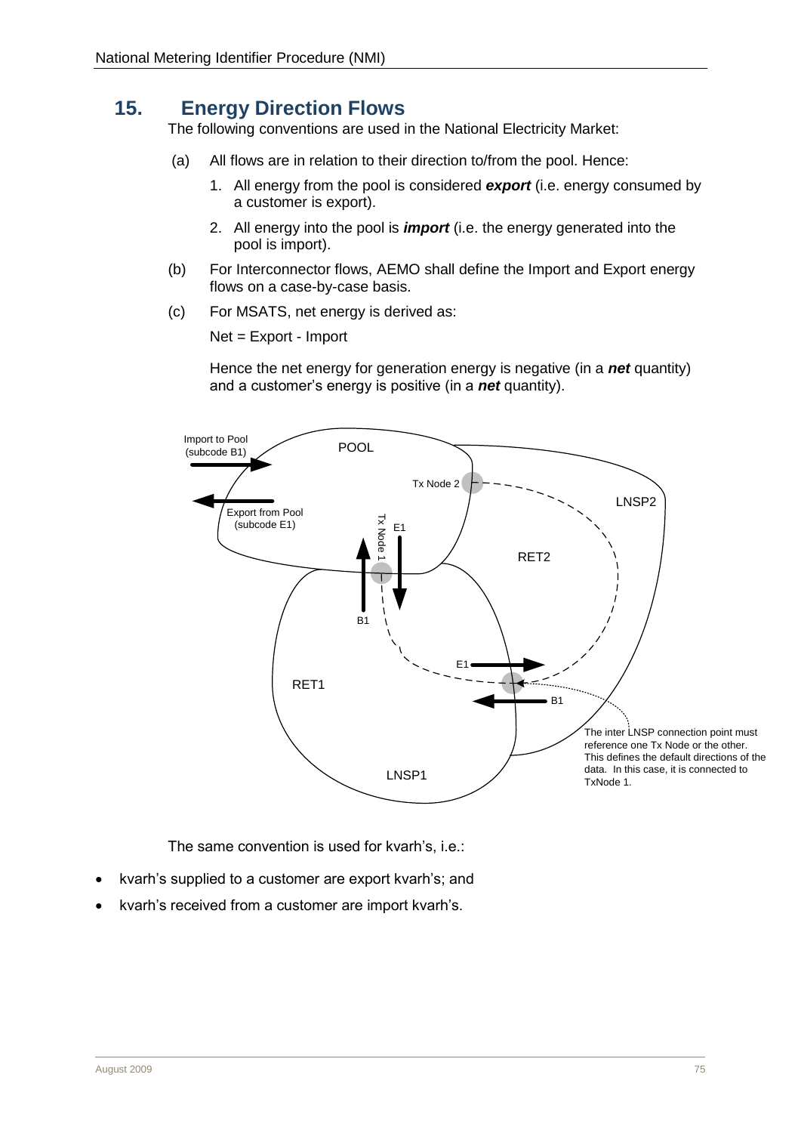# <span id="page-36-1"></span><span id="page-36-0"></span>**15. Energy Direction Flows**

The following conventions are used in the National Electricity Market:

- (a) All flows are in relation to their direction to/from the pool. Hence:
	- 1. All energy from the pool is considered *export* (i.e. energy consumed by a customer is export).
	- 2. All energy into the pool is *import* (i.e. the energy generated into the pool is import).
- (b) For Interconnector flows, AEMO shall define the Import and Export energy flows on a case-by-case basis.
- (c) For MSATS, net energy is derived as:

Net = Export - Import

Hence the net energy for generation energy is negative (in a *net* quantity) and a customer's energy is positive (in a *net* quantity).



The same convention is used for kvarh's, i.e.:

- kvarh's supplied to a customer are export kvarh's; and
- kvarh's received from a customer are import kvarh's.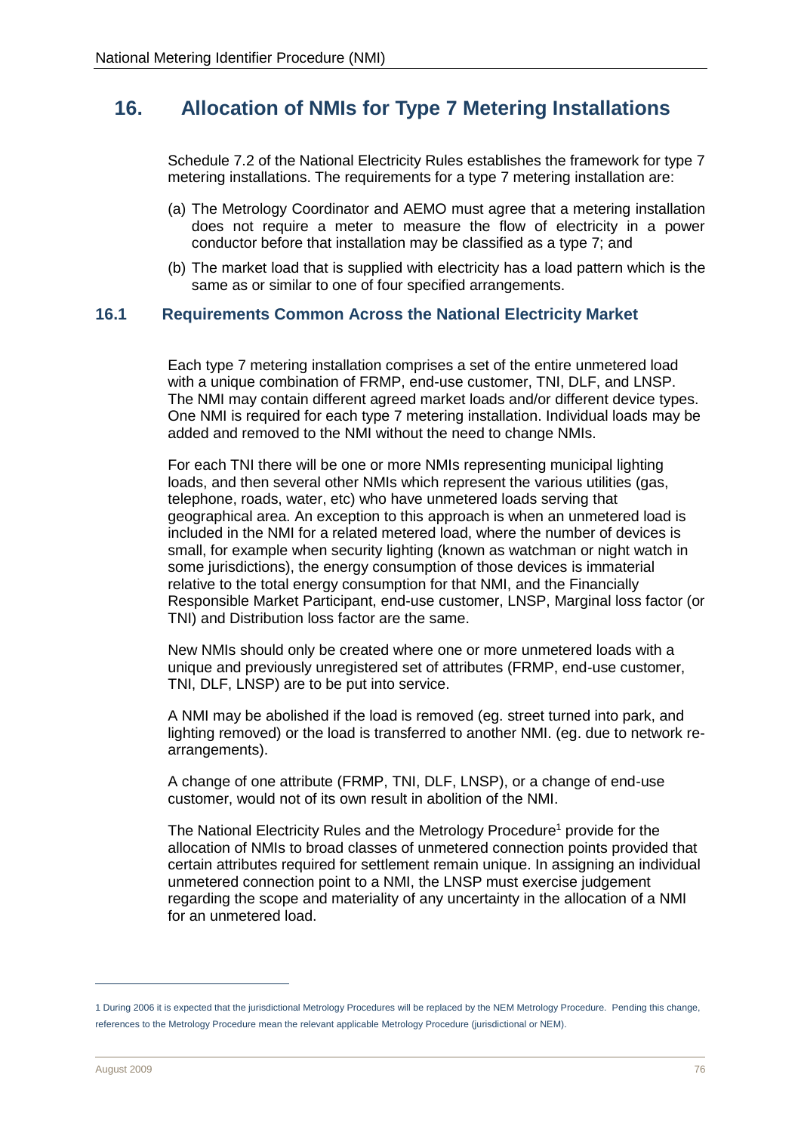# <span id="page-37-0"></span>**16. Allocation of NMIs for Type 7 Metering Installations**

Schedule 7.2 of the National Electricity Rules establishes the framework for type 7 metering installations. The requirements for a type 7 metering installation are:

- (a) The Metrology Coordinator and AEMO must agree that a metering installation does not require a meter to measure the flow of electricity in a power conductor before that installation may be classified as a type 7; and
- (b) The market load that is supplied with electricity has a load pattern which is the same as or similar to one of four specified arrangements.

#### <span id="page-37-1"></span>**16.1 Requirements Common Across the National Electricity Market**

Each type 7 metering installation comprises a set of the entire unmetered load with a unique combination of FRMP, end-use customer, TNI, DLF, and LNSP. The NMI may contain different agreed market loads and/or different device types. One NMI is required for each type 7 metering installation. Individual loads may be added and removed to the NMI without the need to change NMIs.

For each TNI there will be one or more NMIs representing municipal lighting loads, and then several other NMIs which represent the various utilities (gas, telephone, roads, water, etc) who have unmetered loads serving that geographical area. An exception to this approach is when an unmetered load is included in the NMI for a related metered load, where the number of devices is small, for example when security lighting (known as watchman or night watch in some jurisdictions), the energy consumption of those devices is immaterial relative to the total energy consumption for that NMI, and the Financially Responsible Market Participant, end-use customer, LNSP, Marginal loss factor (or TNI) and Distribution loss factor are the same.

New NMIs should only be created where one or more unmetered loads with a unique and previously unregistered set of attributes (FRMP, end-use customer, TNI, DLF, LNSP) are to be put into service.

A NMI may be abolished if the load is removed (eg. street turned into park, and lighting removed) or the load is transferred to another NMI. (eg. due to network rearrangements).

A change of one attribute (FRMP, TNI, DLF, LNSP), or a change of end-use customer, would not of its own result in abolition of the NMI.

The National Electricity Rules and the Metrology Procedure<sup>1</sup> provide for the allocation of NMIs to broad classes of unmetered connection points provided that certain attributes required for settlement remain unique. In assigning an individual unmetered connection point to a NMI, the LNSP must exercise judgement regarding the scope and materiality of any uncertainty in the allocation of a NMI for an unmetered load.

 $\overline{a}$ 

<sup>1</sup> During 2006 it is expected that the jurisdictional Metrology Procedures will be replaced by the NEM Metrology Procedure. Pending this change, references to the Metrology Procedure mean the relevant applicable Metrology Procedure (jurisdictional or NEM).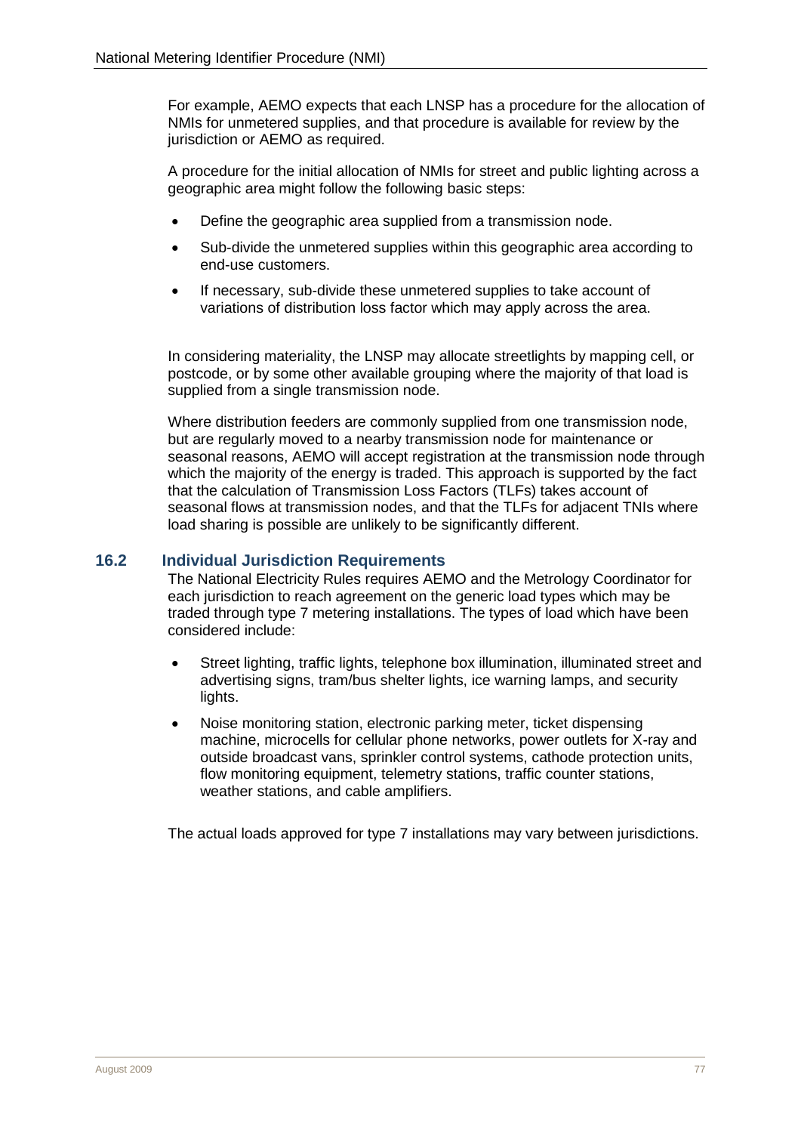For example, AEMO expects that each LNSP has a procedure for the allocation of NMIs for unmetered supplies, and that procedure is available for review by the jurisdiction or AEMO as required.

A procedure for the initial allocation of NMIs for street and public lighting across a geographic area might follow the following basic steps:

- Define the geographic area supplied from a transmission node.
- Sub-divide the unmetered supplies within this geographic area according to end-use customers.
- If necessary, sub-divide these unmetered supplies to take account of variations of distribution loss factor which may apply across the area.

In considering materiality, the LNSP may allocate streetlights by mapping cell, or postcode, or by some other available grouping where the majority of that load is supplied from a single transmission node.

Where distribution feeders are commonly supplied from one transmission node, but are regularly moved to a nearby transmission node for maintenance or seasonal reasons, AEMO will accept registration at the transmission node through which the majority of the energy is traded. This approach is supported by the fact that the calculation of Transmission Loss Factors (TLFs) takes account of seasonal flows at transmission nodes, and that the TLFs for adjacent TNIs where load sharing is possible are unlikely to be significantly different.

#### <span id="page-38-0"></span>**16.2 Individual Jurisdiction Requirements**

The National Electricity Rules requires AEMO and the Metrology Coordinator for each jurisdiction to reach agreement on the generic load types which may be traded through type 7 metering installations. The types of load which have been considered include:

- Street lighting, traffic lights, telephone box illumination, illuminated street and advertising signs, tram/bus shelter lights, ice warning lamps, and security lights.
- Noise monitoring station, electronic parking meter, ticket dispensing machine, microcells for cellular phone networks, power outlets for X-ray and outside broadcast vans, sprinkler control systems, cathode protection units, flow monitoring equipment, telemetry stations, traffic counter stations, weather stations, and cable amplifiers.

The actual loads approved for type 7 installations may vary between jurisdictions.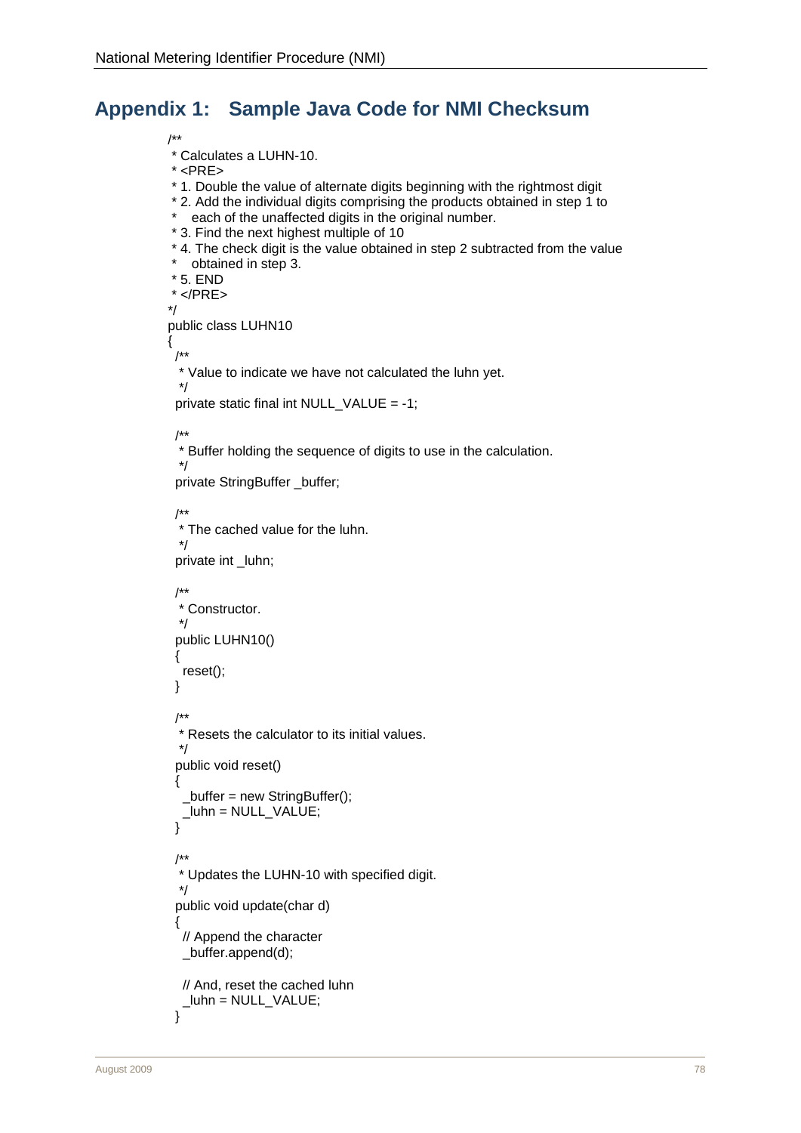# <span id="page-39-0"></span>**Appendix 1: Sample Java Code for NMI Checksum**

/\*\*

\* Calculates a LUHN-10.

- \* <PRE>
- \* 1. Double the value of alternate digits beginning with the rightmost digit
- \* 2. Add the individual digits comprising the products obtained in step 1 to
- \* each of the unaffected digits in the original number.
- \* 3. Find the next highest multiple of 10
- \* 4. The check digit is the value obtained in step 2 subtracted from the value
- \* obtained in step 3.
- \* 5. END
- $<$ /PRE $>$

```
*/
```
public class LUHN10

{ /\*\*

\* Value to indicate we have not calculated the luhn yet.

```
 */
 private static final int NULL_VALUE = -1;
```
#### /\*\*

 \* Buffer holding the sequence of digits to use in the calculation. \*/

private StringBuffer \_buffer;

/\*\*

 \* The cached value for the luhn. \*/

private int \_luhn;

```
 /**
  * Constructor.
  */
  public LUHN10()
  {
   reset();
  }
  /**
  * Resets the calculator to its initial values.
  */
  public void reset()
  {
  buffer = new StringBuffer(); _luhn = NULL_VALUE;
  }
  /**
  * Updates the LUHN-10 with specified digit.
  */
  public void update(char d)
 {
   // Append the character
   _buffer.append(d);
   // And, reset the cached luhn
   _luhn = NULL_VALUE;
 }
```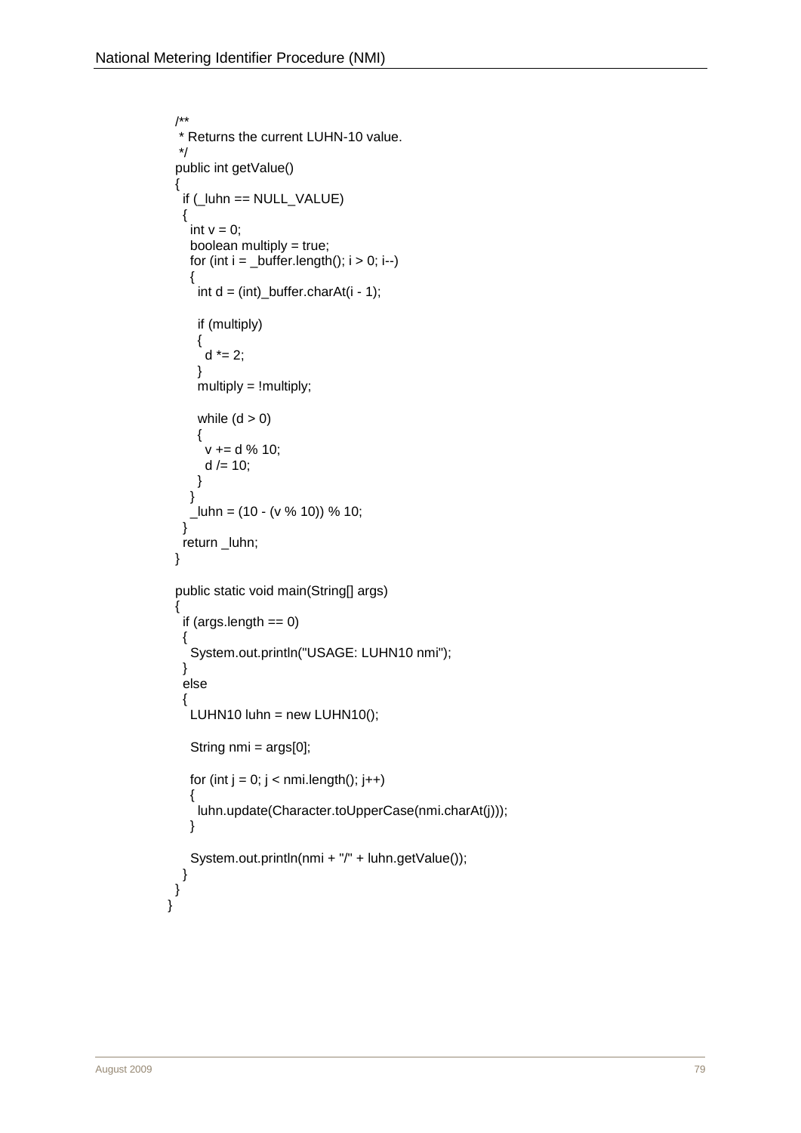```
 /**
  * Returns the current LUHN-10 value.
  */
 public int getValue()
 {
   if (_luhn == NULL_VALUE)
   {
   int v = 0;
    boolean multiply = true;
   for (int i = _buffer.length(); i > 0; i--)
    {
     int d = (int)_buffer.charAt(i - 1);
      if (multiply)
      {
      d^* = 2; }
      multiply = !multiply;
     while (d > 0) {
       v += d % 10;
      d = 10;
      }
    }
   Lluhn = (10 - (v % 10)) % 10;
   }
   return _luhn;
 }
 public static void main(String[] args)
  {
  if (\text{args.length} == 0) {
    System.out.println("USAGE: LUHN10 nmi");
   }
   else
\{LUHN10 luhn = new LUHN10();
    String nmi = args[0];
   for (int j = 0; j < nmi.length(); j++) {
      luhn.update(Character.toUpperCase(nmi.charAt(j)));
    }
    System.out.println(nmi + "/" + luhn.getValue());
 }
 }
}
```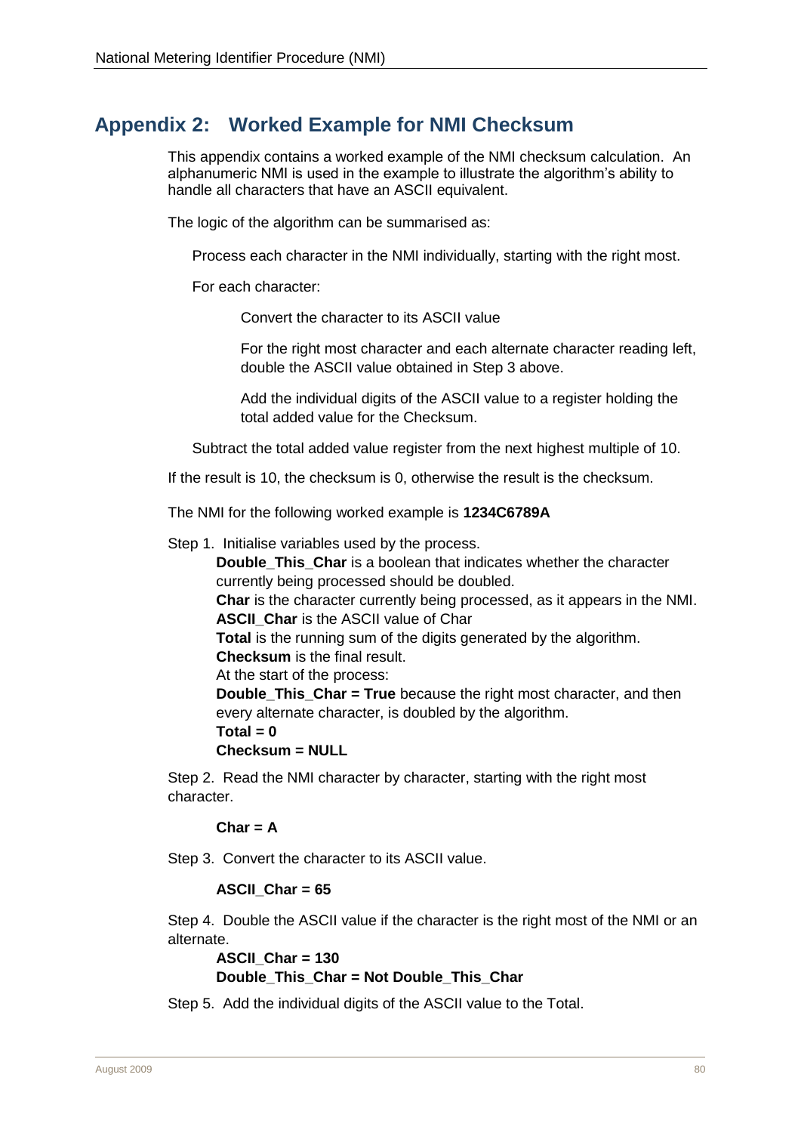# <span id="page-41-0"></span>**Appendix 2: Worked Example for NMI Checksum**

This appendix contains a worked example of the NMI checksum calculation. An alphanumeric NMI is used in the example to illustrate the algorithm's ability to handle all characters that have an ASCII equivalent.

The logic of the algorithm can be summarised as:

Process each character in the NMI individually, starting with the right most.

For each character:

Convert the character to its ASCII value

For the right most character and each alternate character reading left, double the ASCII value obtained in Step 3 above.

Add the individual digits of the ASCII value to a register holding the total added value for the Checksum.

Subtract the total added value register from the next highest multiple of 10.

If the result is 10, the checksum is 0, otherwise the result is the checksum.

The NMI for the following worked example is **1234C6789A**

Step 1. Initialise variables used by the process.

**Double This Char** is a boolean that indicates whether the character currently being processed should be doubled.

**Char** is the character currently being processed, as it appears in the NMI. **ASCII** Char is the ASCII value of Char

**Total** is the running sum of the digits generated by the algorithm. **Checksum** is the final result.

At the start of the process:

**Double\_This\_Char = True** because the right most character, and then every alternate character, is doubled by the algorithm.

 $Total = 0$ 

**Checksum = NULL**

Step 2. Read the NMI character by character, starting with the right most character.

#### **Char = A**

Step 3. Convert the character to its ASCII value.

#### **ASCII\_Char = 65**

Step 4. Double the ASCII value if the character is the right most of the NMI or an alternate.

```
ASCII_Char = 130
Double_This_Char = Not Double_This_Char
```
Step 5. Add the individual digits of the ASCII value to the Total.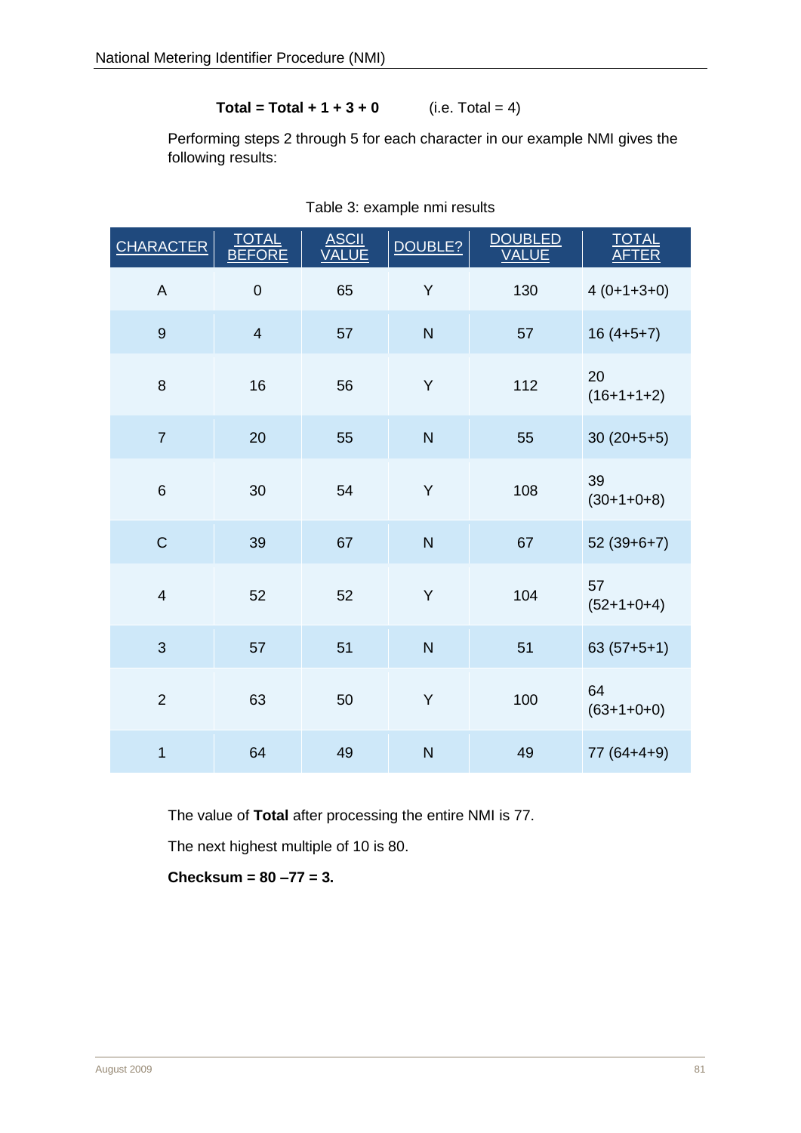# **Total = Total + 1 + 3 + 0** (i.e. Total = 4)

Performing steps 2 through 5 for each character in our example NMI gives the following results:

| <b>CHARACTER</b> | <b>TOTAL</b><br><b>BEFORE</b> | <b>ASCII</b><br><b>VALUE</b> | DOUBLE?                 | <b>DOUBLED</b><br>VALUE | TOTAL<br><b>AFTER</b> |
|------------------|-------------------------------|------------------------------|-------------------------|-------------------------|-----------------------|
| $\mathsf A$      | $\mathbf 0$                   | 65                           | Y                       | 130                     | $4(0+1+3+0)$          |
| $\overline{9}$   | $\overline{4}$                | 57                           | N                       | 57                      | $16(4+5+7)$           |
| 8                | 16                            | 56                           | Y                       | 112                     | 20<br>$(16+1+1+2)$    |
| $\overline{7}$   | 20                            | 55                           | N                       | 55                      | $30(20+5+5)$          |
| 6                | 30                            | 54                           | Y                       | 108                     | 39<br>$(30+1+0+8)$    |
| $\mathsf C$      | 39                            | 67                           | $\overline{\mathsf{N}}$ | 67                      | $52(39+6+7)$          |
| $\overline{4}$   | 52                            | 52                           | Y                       | 104                     | 57<br>$(52+1+0+4)$    |
| 3                | 57                            | 51                           | N                       | 51                      | $63(57+5+1)$          |
| $\overline{2}$   | 63                            | 50                           | Y                       | 100                     | 64<br>$(63+1+0+0)$    |
| $\overline{1}$   | 64                            | 49                           | N                       | 49                      | $77(64+4+9)$          |

Table 3: example nmi results

The value of **Total** after processing the entire NMI is 77.

The next highest multiple of 10 is 80.

**Checksum = 80 –77 = 3.**